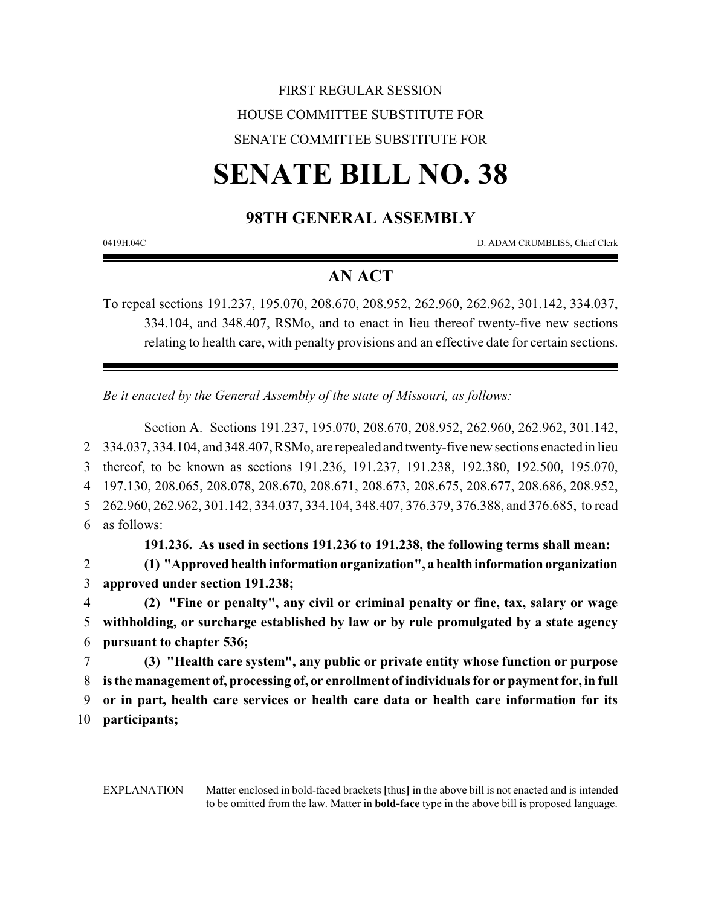# FIRST REGULAR SESSION HOUSE COMMITTEE SUBSTITUTE FOR SENATE COMMITTEE SUBSTITUTE FOR

# **SENATE BILL NO. 38**

# **98TH GENERAL ASSEMBLY**

0419H.04C D. ADAM CRUMBLISS, Chief Clerk

# **AN ACT**

To repeal sections 191.237, 195.070, 208.670, 208.952, 262.960, 262.962, 301.142, 334.037, 334.104, and 348.407, RSMo, and to enact in lieu thereof twenty-five new sections relating to health care, with penalty provisions and an effective date for certain sections.

*Be it enacted by the General Assembly of the state of Missouri, as follows:*

Section A. Sections 191.237, 195.070, 208.670, 208.952, 262.960, 262.962, 301.142, 334.037, 334.104, and 348.407, RSMo, are repealed and twenty-five new sections enacted in lieu thereof, to be known as sections 191.236, 191.237, 191.238, 192.380, 192.500, 195.070, 197.130, 208.065, 208.078, 208.670, 208.671, 208.673, 208.675, 208.677, 208.686, 208.952, 262.960, 262.962, 301.142, 334.037, 334.104, 348.407, 376.379, 376.388, and 376.685, to read as follows:

**191.236. As used in sections 191.236 to 191.238, the following terms shall mean:**

2 **(1) "Approved health information organization", a healthinformationorganization** 3 **approved under section 191.238;**

4 **(2) "Fine or penalty", any civil or criminal penalty or fine, tax, salary or wage** 5 **withholding, or surcharge established by law or by rule promulgated by a state agency** 6 **pursuant to chapter 536;**

 **(3) "Health care system", any public or private entity whose function or purpose is the management of, processing of, or enrollment of individuals for or payment for, in full or in part, health care services or health care data or health care information for its participants;**

EXPLANATION — Matter enclosed in bold-faced brackets **[**thus**]** in the above bill is not enacted and is intended to be omitted from the law. Matter in **bold-face** type in the above bill is proposed language.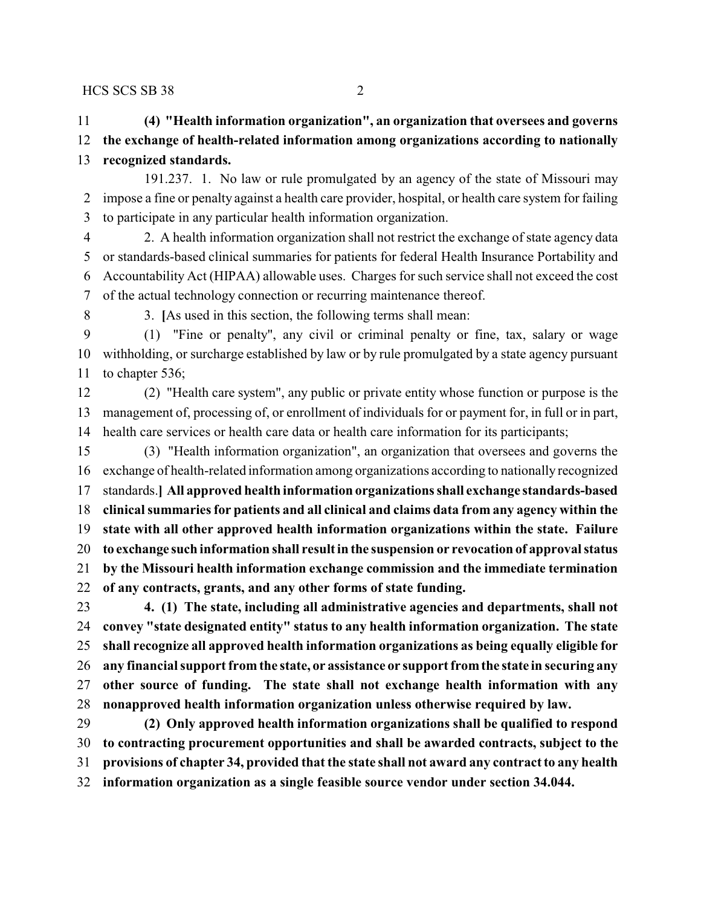**(4) "Health information organization", an organization that oversees and governs the exchange of health-related information among organizations according to nationally recognized standards.**

191.237. 1. No law or rule promulgated by an agency of the state of Missouri may impose a fine or penalty against a health care provider, hospital, or health care system for failing to participate in any particular health information organization.

 2. A health information organization shall not restrict the exchange of state agency data or standards-based clinical summaries for patients for federal Health Insurance Portability and Accountability Act (HIPAA) allowable uses. Charges for such service shall not exceed the cost of the actual technology connection or recurring maintenance thereof.

3. **[**As used in this section, the following terms shall mean:

 (1) "Fine or penalty", any civil or criminal penalty or fine, tax, salary or wage withholding, or surcharge established by law or by rule promulgated by a state agency pursuant to chapter 536;

 (2) "Health care system", any public or private entity whose function or purpose is the management of, processing of, or enrollment of individuals for or payment for, in full or in part, health care services or health care data or health care information for its participants;

 (3) "Health information organization", an organization that oversees and governs the exchange of health-related information among organizations according to nationally recognized standards.**] All approved health information organizations shall exchange standards-based clinical summaries for patients and all clinical and claims data from any agency within the state with all other approved health information organizations within the state. Failure to exchange such information shall result in the suspension or revocation of approval status by the Missouri health information exchange commission and the immediate termination of any contracts, grants, and any other forms of state funding.**

 **4. (1) The state, including all administrative agencies and departments, shall not convey "state designated entity" status to any health information organization. The state shall recognize all approved health information organizations as being equally eligible for any financial support from the state, or assistance or support fromthe state in securing any other source of funding. The state shall not exchange health information with any nonapproved health information organization unless otherwise required by law.**

 **(2) Only approved health information organizations shall be qualified to respond to contracting procurement opportunities and shall be awarded contracts, subject to the provisions of chapter 34, provided that the state shall not award any contract to any health information organization as a single feasible source vendor under section 34.044.**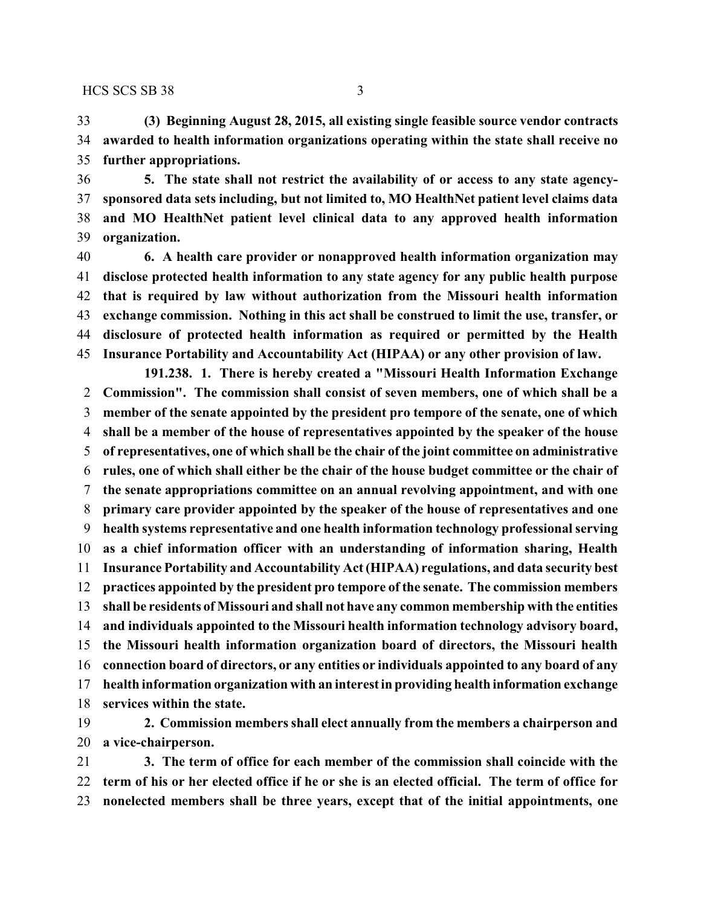**(3) Beginning August 28, 2015, all existing single feasible source vendor contracts awarded to health information organizations operating within the state shall receive no further appropriations.**

 **5. The state shall not restrict the availability of or access to any state agency- sponsored data sets including, but not limited to, MO HealthNet patient level claims data and MO HealthNet patient level clinical data to any approved health information organization.**

 **6. A health care provider or nonapproved health information organization may disclose protected health information to any state agency for any public health purpose that is required by law without authorization from the Missouri health information exchange commission. Nothing in this act shall be construed to limit the use, transfer, or disclosure of protected health information as required or permitted by the Health Insurance Portability and Accountability Act (HIPAA) or any other provision of law.**

**191.238. 1. There is hereby created a "Missouri Health Information Exchange Commission". The commission shall consist of seven members, one of which shall be a member of the senate appointed by the president pro tempore of the senate, one of which shall be a member of the house of representatives appointed by the speaker of the house of representatives, one of which shall be the chair of the joint committee on administrative rules, one of which shall either be the chair of the house budget committee or the chair of the senate appropriations committee on an annual revolving appointment, and with one primary care provider appointed by the speaker of the house of representatives and one health systems representative and one health information technology professional serving as a chief information officer with an understanding of information sharing, Health Insurance Portability and Accountability Act (HIPAA) regulations, and data security best practices appointed by the president pro tempore of the senate. The commission members shall be residents of Missouri and shall not have any common membership with the entities and individuals appointed to the Missouri health information technology advisory board, the Missouri health information organization board of directors, the Missouri health connection board of directors, or any entities or individuals appointed to any board of any health information organization with an interest in providing health information exchange services within the state.**

 **2. Commission members shall elect annually from the members a chairperson and a vice-chairperson.**

 **3. The term of office for each member of the commission shall coincide with the term of his or her elected office if he or she is an elected official. The term of office for nonelected members shall be three years, except that of the initial appointments, one**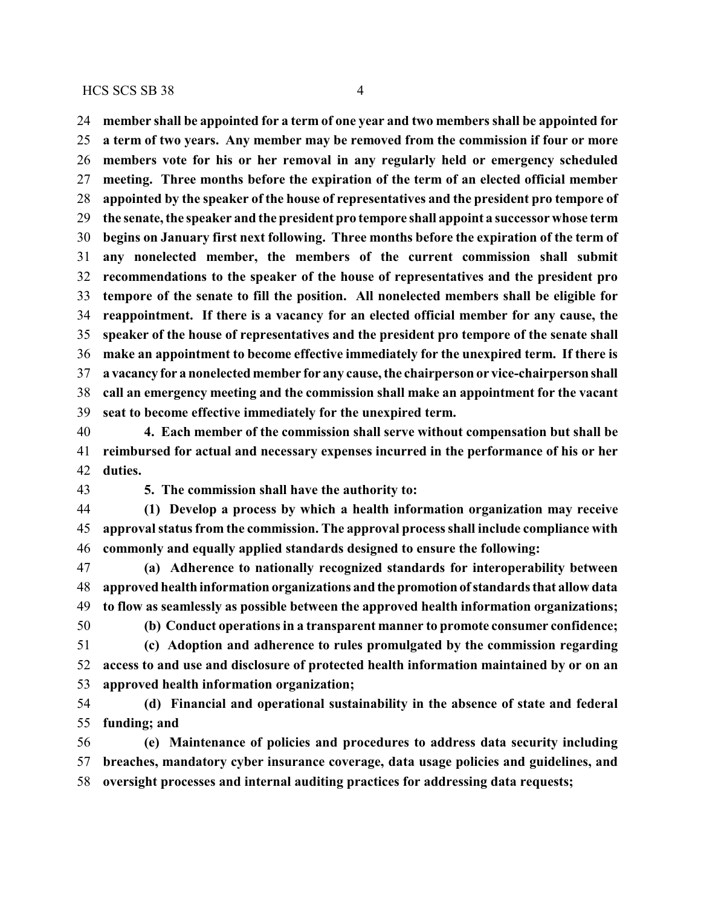**member shall be appointed for a term of one year and two members shall be appointed for a term of two years. Any member may be removed from the commission if four or more members vote for his or her removal in any regularly held or emergency scheduled meeting. Three months before the expiration of the term of an elected official member appointed by the speaker of the house of representatives and the president pro tempore of the senate, the speaker and the president pro tempore shall appoint a successor whose term begins on January first next following. Three months before the expiration of the term of any nonelected member, the members of the current commission shall submit recommendations to the speaker of the house of representatives and the president pro tempore of the senate to fill the position. All nonelected members shall be eligible for reappointment. If there is a vacancy for an elected official member for any cause, the speaker of the house of representatives and the president pro tempore of the senate shall make an appointment to become effective immediately for the unexpired term. If there is a vacancy for a nonelected member for any cause, the chairperson or vice-chairpersonshall call an emergency meeting and the commission shall make an appointment for the vacant seat to become effective immediately for the unexpired term.**

 **4. Each member of the commission shall serve without compensation but shall be reimbursed for actual and necessary expenses incurred in the performance of his or her duties.**

**5. The commission shall have the authority to:**

 **(1) Develop a process by which a health information organization may receive approval status from the commission. The approval process shall include compliance with commonly and equally applied standards designed to ensure the following:**

 **(a) Adherence to nationally recognized standards for interoperability between approved health information organizations and thepromotionof standards that allow data to flow as seamlessly as possible between the approved health information organizations;**

 **(b) Conduct operations in a transparent manner to promote consumer confidence; (c) Adoption and adherence to rules promulgated by the commission regarding access to and use and disclosure of protected health information maintained by or on an**

**approved health information organization;**

 **(d) Financial and operational sustainability in the absence of state and federal funding; and**

 **(e) Maintenance of policies and procedures to address data security including breaches, mandatory cyber insurance coverage, data usage policies and guidelines, and oversight processes and internal auditing practices for addressing data requests;**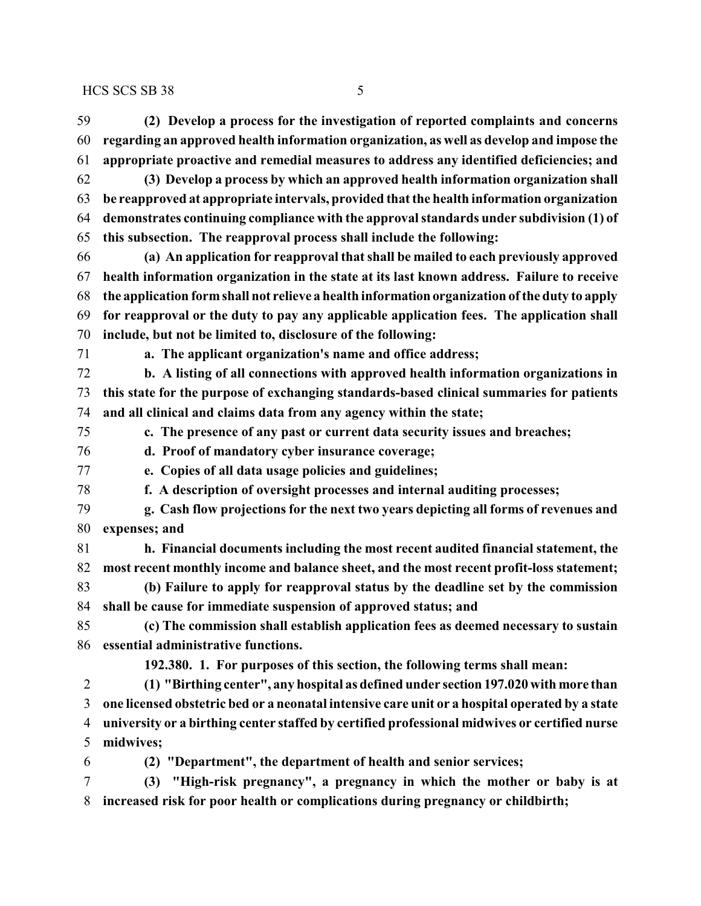**(2) Develop a process for the investigation of reported complaints and concerns regarding an approved health information organization, as well as develop and impose the appropriate proactive and remedial measures to address any identified deficiencies; and (3) Develop a process by which an approved health information organization shall be reapproved at appropriate intervals, provided that the health information organization demonstrates continuing compliance with the approval standards under subdivision (1) of this subsection. The reapproval process shall include the following: (a) An application for reapproval that shall be mailed to each previously approved health information organization in the state at its last known address. Failure to receive the application formshall not relieve a health information organization of the duty to apply for reapproval or the duty to pay any applicable application fees. The application shall include, but not be limited to, disclosure of the following: a. The applicant organization's name and office address; b. A listing of all connections with approved health information organizations in this state for the purpose of exchanging standards-based clinical summaries for patients and all clinical and claims data from any agency within the state; c. The presence of any past or current data security issues and breaches; d. Proof of mandatory cyber insurance coverage; e. Copies of all data usage policies and guidelines; f. A description of oversight processes and internal auditing processes; g. Cash flow projections for the next two years depicting all forms of revenues and expenses; and h. Financial documents including the most recent audited financial statement, the most recent monthly income and balance sheet, and the most recent profit-loss statement; (b) Failure to apply for reapproval status by the deadline set by the commission shall be cause for immediate suspension of approved status; and (c) The commission shall establish application fees as deemed necessary to sustain essential administrative functions. 192.380. 1. For purposes of this section, the following terms shall mean: (1) "Birthing center", any hospital as defined under section 197.020 with more than one licensed obstetric bed or a neonatal intensive care unit or a hospital operated by a state university or a birthing center staffed by certified professional midwives or certified nurse midwives; (2) "Department", the department of health and senior services; (3) "High-risk pregnancy", a pregnancy in which the mother or baby is at increased risk for poor health or complications during pregnancy or childbirth;**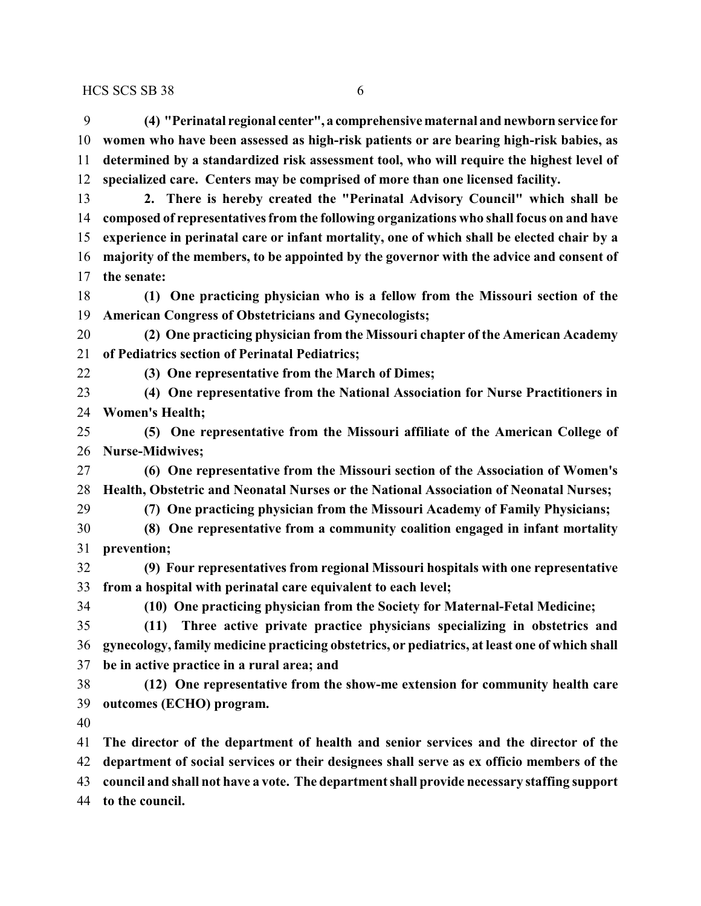**(4) "Perinatal regional center", a comprehensive maternal and newborn service for women who have been assessed as high-risk patients or are bearing high-risk babies, as determined by a standardized risk assessment tool, who will require the highest level of specialized care. Centers may be comprised of more than one licensed facility.**

 **2. There is hereby created the "Perinatal Advisory Council" which shall be composed of representatives from the following organizations who shall focus on and have experience in perinatal care or infant mortality, one of which shall be elected chair by a majority of the members, to be appointed by the governor with the advice and consent of the senate:**

 **(1) One practicing physician who is a fellow from the Missouri section of the American Congress of Obstetricians and Gynecologists;**

 **(2) One practicing physician from the Missouri chapter of the American Academy of Pediatrics section of Perinatal Pediatrics;**

**(3) One representative from the March of Dimes;**

 **(4) One representative from the National Association for Nurse Practitioners in Women's Health;**

 **(5) One representative from the Missouri affiliate of the American College of Nurse-Midwives;**

 **(6) One representative from the Missouri section of the Association of Women's Health, Obstetric and Neonatal Nurses or the National Association of Neonatal Nurses;**

**(7) One practicing physician from the Missouri Academy of Family Physicians;**

 **(8) One representative from a community coalition engaged in infant mortality prevention;**

 **(9) Four representatives from regional Missouri hospitals with one representative from a hospital with perinatal care equivalent to each level;**

**(10) One practicing physician from the Society for Maternal-Fetal Medicine;**

 **(11) Three active private practice physicians specializing in obstetrics and gynecology, family medicine practicing obstetrics, or pediatrics, at least one of which shall be in active practice in a rural area; and**

 **(12) One representative from the show-me extension for community health care outcomes (ECHO) program.**

 **The director of the department of health and senior services and the director of the department of social services or their designees shall serve as ex officio members of the council and shall not have a vote. The department shall provide necessary staffing support to the council.**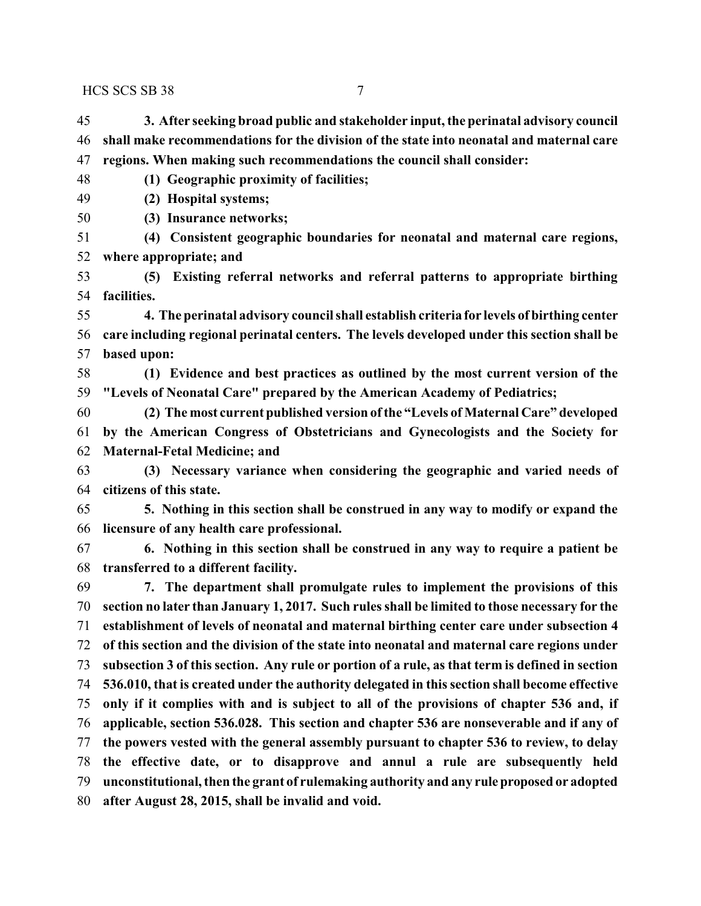- **3. After seeking broad public and stakeholder input, the perinatal advisory council shall make recommendations for the division of the state into neonatal and maternal care regions. When making such recommendations the council shall consider:**
- **(1) Geographic proximity of facilities;**
- **(2) Hospital systems;**
- **(3) Insurance networks;**
- **(4) Consistent geographic boundaries for neonatal and maternal care regions, where appropriate; and**
- **(5) Existing referral networks and referral patterns to appropriate birthing facilities.**
- **4. The perinatal advisory council shall establish criteria for levels of birthing center care including regional perinatal centers. The levels developed under this section shall be based upon:**
- **(1) Evidence and best practices as outlined by the most current version of the "Levels of Neonatal Care" prepared by the American Academy of Pediatrics;**
- **(2) The most current published version ofthe "Levels of Maternal Care" developed by the American Congress of Obstetricians and Gynecologists and the Society for Maternal-Fetal Medicine; and**
- **(3) Necessary variance when considering the geographic and varied needs of citizens of this state.**
- **5. Nothing in this section shall be construed in any way to modify or expand the licensure of any health care professional.**
- **6. Nothing in this section shall be construed in any way to require a patient be transferred to a different facility.**
- **7. The department shall promulgate rules to implement the provisions of this section no later than January 1, 2017. Such rules shall be limited to those necessary for the establishment of levels of neonatal and maternal birthing center care under subsection 4 of this section and the division of the state into neonatal and maternal care regions under subsection 3 of this section. Any rule or portion of a rule, as that term is defined in section 536.010, that is created under the authority delegated in this section shall become effective only if it complies with and is subject to all of the provisions of chapter 536 and, if applicable, section 536.028. This section and chapter 536 are nonseverable and if any of the powers vested with the general assembly pursuant to chapter 536 to review, to delay the effective date, or to disapprove and annul a rule are subsequently held unconstitutional, then the grant of rulemaking authority and any ruleproposed or adopted after August 28, 2015, shall be invalid and void.**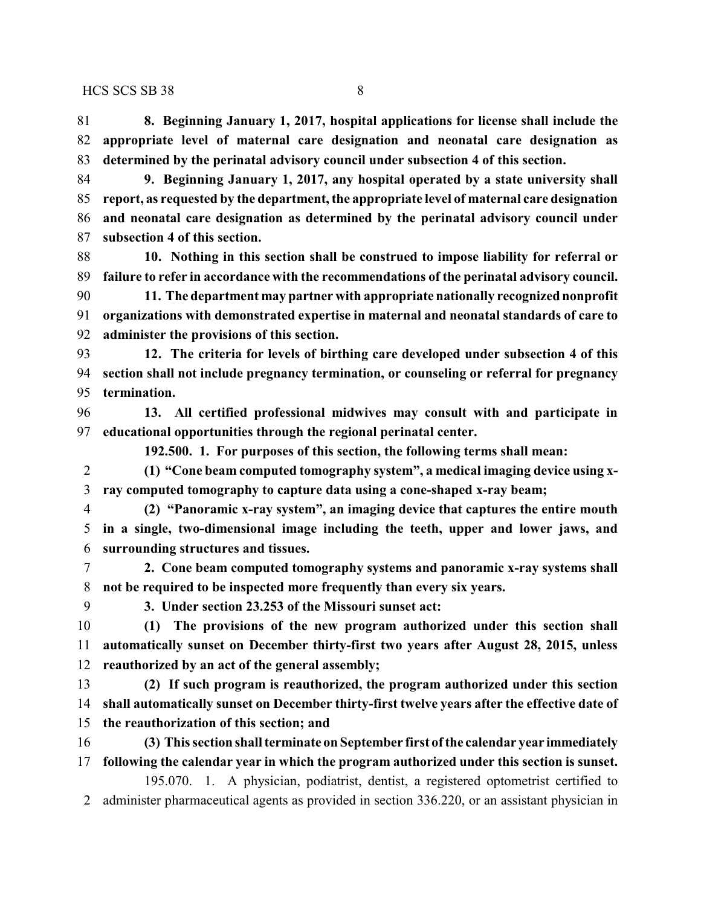**8. Beginning January 1, 2017, hospital applications for license shall include the appropriate level of maternal care designation and neonatal care designation as determined by the perinatal advisory council under subsection 4 of this section.**

 **9. Beginning January 1, 2017, any hospital operated by a state university shall report, as requested by the department, the appropriate level of maternal care designation and neonatal care designation as determined by the perinatal advisory council under subsection 4 of this section.**

 **10. Nothing in this section shall be construed to impose liability for referral or failure to refer in accordance with the recommendations of the perinatal advisory council.**

 **11. The department may partner with appropriate nationally recognized nonprofit organizations with demonstrated expertise in maternal and neonatal standards of care to administer the provisions of this section.**

 **12. The criteria for levels of birthing care developed under subsection 4 of this section shall not include pregnancy termination, or counseling or referral for pregnancy termination.**

 **13. All certified professional midwives may consult with and participate in educational opportunities through the regional perinatal center.**

**192.500. 1. For purposes of this section, the following terms shall mean:**

 **(1) "Cone beam computed tomography system", a medical imaging device using x-ray computed tomography to capture data using a cone-shaped x-ray beam;**

 **(2) "Panoramic x-ray system", an imaging device that captures the entire mouth in a single, two-dimensional image including the teeth, upper and lower jaws, and surrounding structures and tissues.**

 **2. Cone beam computed tomography systems and panoramic x-ray systems shall not be required to be inspected more frequently than every six years.**

**3. Under section 23.253 of the Missouri sunset act:**

 **(1) The provisions of the new program authorized under this section shall automatically sunset on December thirty-first two years after August 28, 2015, unless reauthorized by an act of the general assembly;**

 **(2) If such program is reauthorized, the program authorized under this section shall automatically sunset on December thirty-first twelve years after the effective date of the reauthorization of this section; and**

 **(3) This section shall terminate on September first ofthe calendar year immediately following the calendar year in which the program authorized under this section is sunset.**

195.070. 1. A physician, podiatrist, dentist, a registered optometrist certified to administer pharmaceutical agents as provided in section 336.220, or an assistant physician in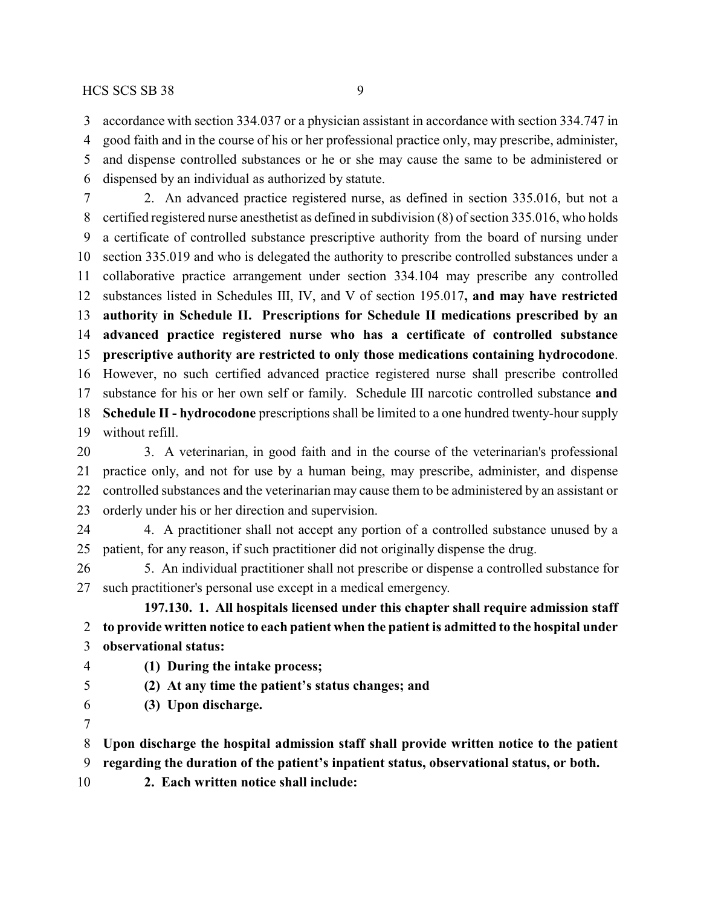accordance with section 334.037 or a physician assistant in accordance with section 334.747 in

good faith and in the course of his or her professional practice only, may prescribe, administer,

 and dispense controlled substances or he or she may cause the same to be administered or dispensed by an individual as authorized by statute.

 2. An advanced practice registered nurse, as defined in section 335.016, but not a certified registered nurse anesthetist as defined in subdivision (8) of section 335.016, who holds a certificate of controlled substance prescriptive authority from the board of nursing under section 335.019 and who is delegated the authority to prescribe controlled substances under a collaborative practice arrangement under section 334.104 may prescribe any controlled substances listed in Schedules III, IV, and V of section 195.017**, and may have restricted authority in Schedule II. Prescriptions for Schedule II medications prescribed by an advanced practice registered nurse who has a certificate of controlled substance prescriptive authority are restricted to only those medications containing hydrocodone**. However, no such certified advanced practice registered nurse shall prescribe controlled substance for his or her own self or family. Schedule III narcotic controlled substance **and Schedule II - hydrocodone** prescriptions shall be limited to a one hundred twenty-hour supply without refill.

 3. A veterinarian, in good faith and in the course of the veterinarian's professional practice only, and not for use by a human being, may prescribe, administer, and dispense controlled substances and the veterinarian may cause them to be administered by an assistant or orderly under his or her direction and supervision.

 4. A practitioner shall not accept any portion of a controlled substance unused by a patient, for any reason, if such practitioner did not originally dispense the drug.

 5. An individual practitioner shall not prescribe or dispense a controlled substance for such practitioner's personal use except in a medical emergency.

**197.130. 1. All hospitals licensed under this chapter shall require admission staff to provide written notice to each patient when the patient is admitted to the hospital under observational status:**

# **(1) During the intake process;**

- **(2) At any time the patient's status changes; and**
- **(3) Upon discharge.**
- 

**Upon discharge the hospital admission staff shall provide written notice to the patient**

**regarding the duration of the patient's inpatient status, observational status, or both.**

**2. Each written notice shall include:**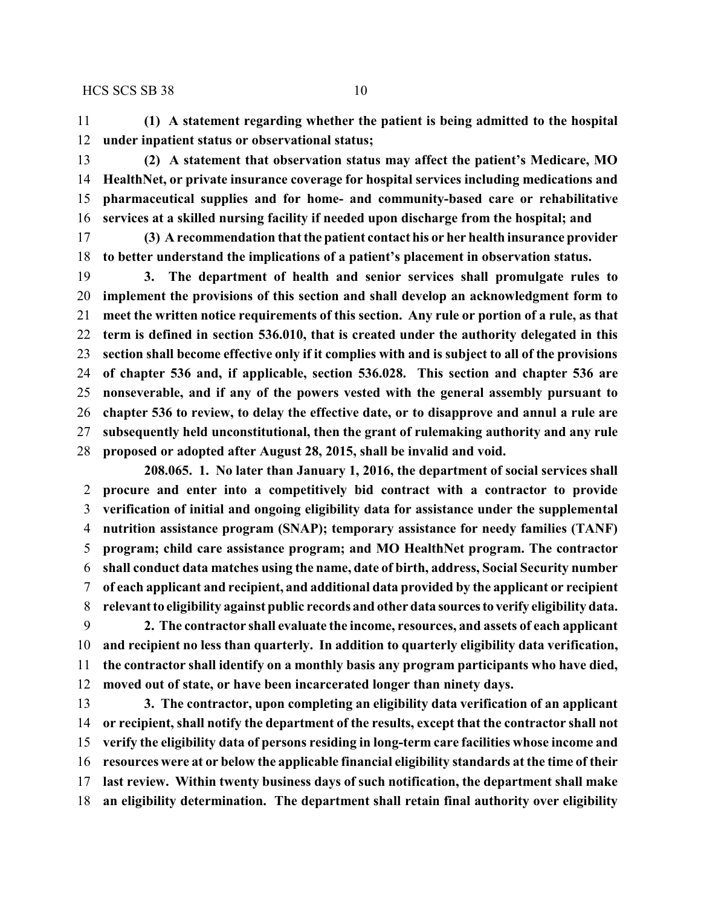**(1) A statement regarding whether the patient is being admitted to the hospital under inpatient status or observational status;**

 **(2) A statement that observation status may affect the patient's Medicare, MO HealthNet, or private insurance coverage for hospital services including medications and pharmaceutical supplies and for home- and community-based care or rehabilitative services at a skilled nursing facility if needed upon discharge from the hospital; and**

 **(3) A recommendation that the patient contact his or her health insurance provider to better understand the implications of a patient's placement in observation status.**

 **3. The department of health and senior services shall promulgate rules to implement the provisions of this section and shall develop an acknowledgment form to meet the written notice requirements of this section. Any rule or portion of a rule, as that term is defined in section 536.010, that is created under the authority delegated in this section shall become effective only if it complies with and is subject to all of the provisions of chapter 536 and, if applicable, section 536.028. This section and chapter 536 are nonseverable, and if any of the powers vested with the general assembly pursuant to chapter 536 to review, to delay the effective date, or to disapprove and annul a rule are subsequently held unconstitutional, then the grant of rulemaking authority and any rule proposed or adopted after August 28, 2015, shall be invalid and void.**

**208.065. 1. No later than January 1, 2016, the department of social services shall procure and enter into a competitively bid contract with a contractor to provide verification of initial and ongoing eligibility data for assistance under the supplemental nutrition assistance program (SNAP); temporary assistance for needy families (TANF) program; child care assistance program; and MO HealthNet program. The contractor shall conduct data matches using the name, date of birth, address, Social Security number of each applicant and recipient, and additional data provided by the applicant or recipient relevant to eligibility against public records and other data sourcesto verify eligibility data. 2. The contractor shall evaluate the income, resources, and assets of each applicant**

 **and recipient no less than quarterly. In addition to quarterly eligibility data verification, the contractor shall identify on a monthly basis any program participants who have died, moved out of state, or have been incarcerated longer than ninety days.**

 **3. The contractor, upon completing an eligibility data verification of an applicant or recipient, shall notify the department of the results, except that the contractor shall not verify the eligibility data of persons residing in long-term care facilities whose income and resources were at or below the applicable financial eligibility standards at the time of their last review. Within twenty business days of such notification, the department shall make an eligibility determination. The department shall retain final authority over eligibility**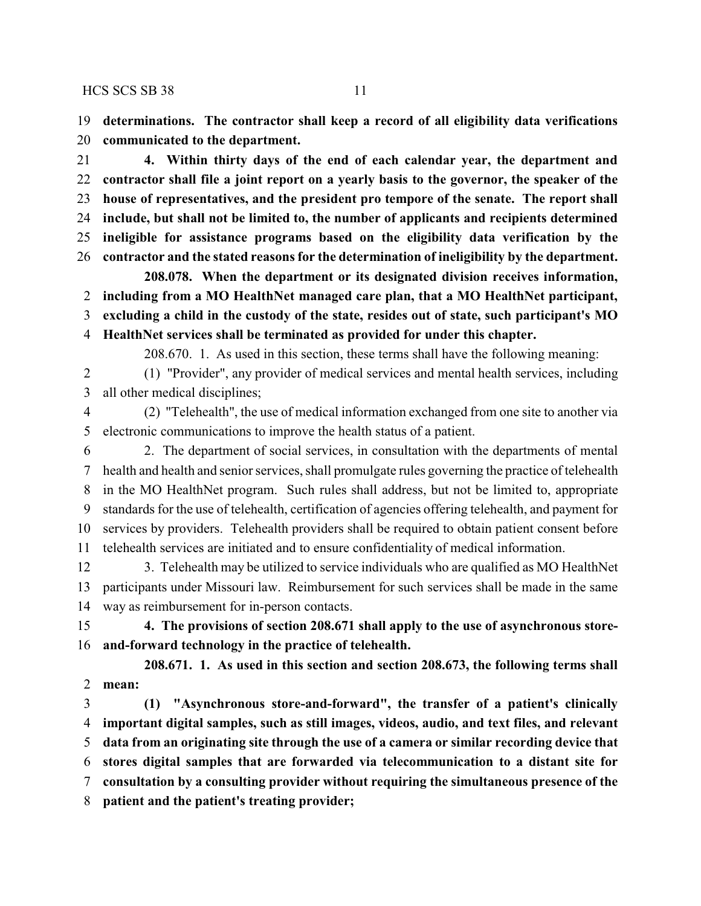**determinations. The contractor shall keep a record of all eligibility data verifications communicated to the department.**

 **4. Within thirty days of the end of each calendar year, the department and contractor shall file a joint report on a yearly basis to the governor, the speaker of the house of representatives, and the president pro tempore of the senate. The report shall include, but shall not be limited to, the number of applicants and recipients determined ineligible for assistance programs based on the eligibility data verification by the contractor and the stated reasons for the determination of ineligibility by the department.**

**208.078. When the department or its designated division receives information, including from a MO HealthNet managed care plan, that a MO HealthNet participant, excluding a child in the custody of the state, resides out of state, such participant's MO HealthNet services shall be terminated as provided for under this chapter.**

208.670. 1. As used in this section, these terms shall have the following meaning:

 (1) "Provider", any provider of medical services and mental health services, including all other medical disciplines;

 (2) "Telehealth", the use of medical information exchanged from one site to another via electronic communications to improve the health status of a patient.

 2. The department of social services, in consultation with the departments of mental health and health and senior services, shall promulgate rules governing the practice of telehealth in the MO HealthNet program. Such rules shall address, but not be limited to, appropriate standards for the use of telehealth, certification of agencies offering telehealth, and payment for services by providers. Telehealth providers shall be required to obtain patient consent before telehealth services are initiated and to ensure confidentiality of medical information.

 3. Telehealth may be utilized to service individuals who are qualified as MO HealthNet participants under Missouri law. Reimbursement for such services shall be made in the same way as reimbursement for in-person contacts.

 **4. The provisions of section 208.671 shall apply to the use of asynchronous store-and-forward technology in the practice of telehealth.**

**208.671. 1. As used in this section and section 208.673, the following terms shall mean:**

 **(1) "Asynchronous store-and-forward", the transfer of a patient's clinically important digital samples, such as still images, videos, audio, and text files, and relevant data from an originating site through the use of a camera or similar recording device that stores digital samples that are forwarded via telecommunication to a distant site for consultation by a consulting provider without requiring the simultaneous presence of the patient and the patient's treating provider;**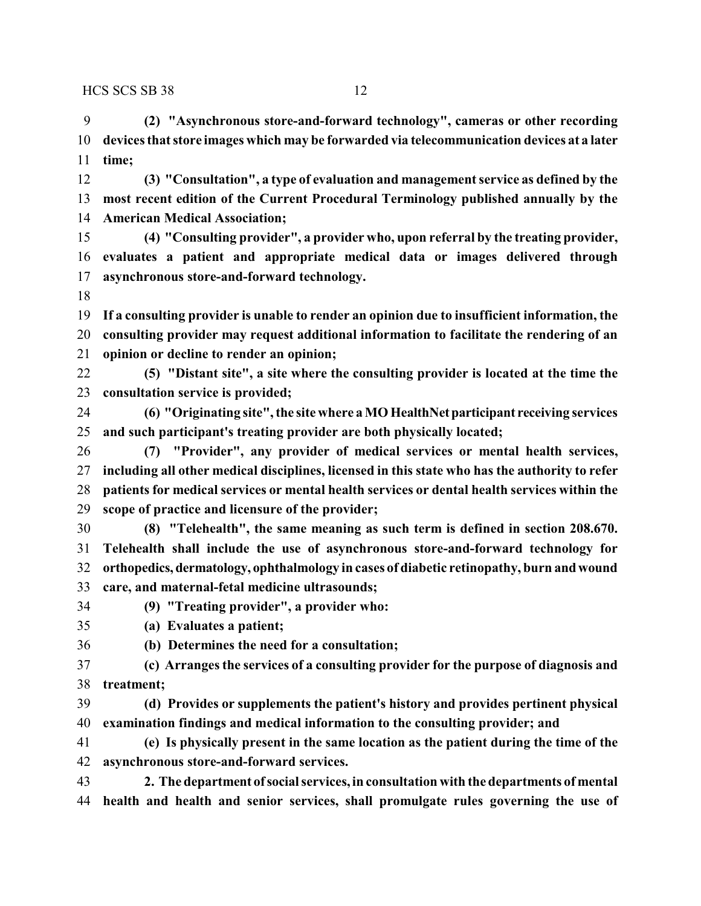**(2) "Asynchronous store-and-forward technology", cameras or other recording devices that store images which may be forwarded via telecommunication devices at a later time;**

 **(3) "Consultation", a type of evaluation and management service as defined by the most recent edition of the Current Procedural Terminology published annually by the American Medical Association;**

 **(4) "Consulting provider", a provider who, upon referral by the treating provider, evaluates a patient and appropriate medical data or images delivered through asynchronous store-and-forward technology.**

 **If a consulting provider is unable to render an opinion due to insufficient information, the consulting provider may request additional information to facilitate the rendering of an opinion or decline to render an opinion;**

 **(5) "Distant site", a site where the consulting provider is located at the time the consultation service is provided;**

 **(6) "Originating site", the site where a MO HealthNetparticipant receiving services and such participant's treating provider are both physically located;**

 **(7) "Provider", any provider of medical services or mental health services, including all other medical disciplines, licensed in this state who has the authority to refer patients for medical services or mental health services or dental health services within the scope of practice and licensure of the provider;**

 **(8) "Telehealth", the same meaning as such term is defined in section 208.670. Telehealth shall include the use of asynchronous store-and-forward technology for orthopedics, dermatology, ophthalmology in cases of diabetic retinopathy, burn andwound care, and maternal-fetal medicine ultrasounds;**

**(9) "Treating provider", a provider who:**

- **(a) Evaluates a patient;**
- **(b) Determines the need for a consultation;**

 **(c) Arranges the services of a consulting provider for the purpose of diagnosis and treatment;**

 **(d) Provides or supplements the patient's history and provides pertinent physical examination findings and medical information to the consulting provider; and**

 **(e) Is physically present in the same location as the patient during the time of the asynchronous store-and-forward services.**

 **2. The department of social services, in consultation with the departments of mental health and health and senior services, shall promulgate rules governing the use of**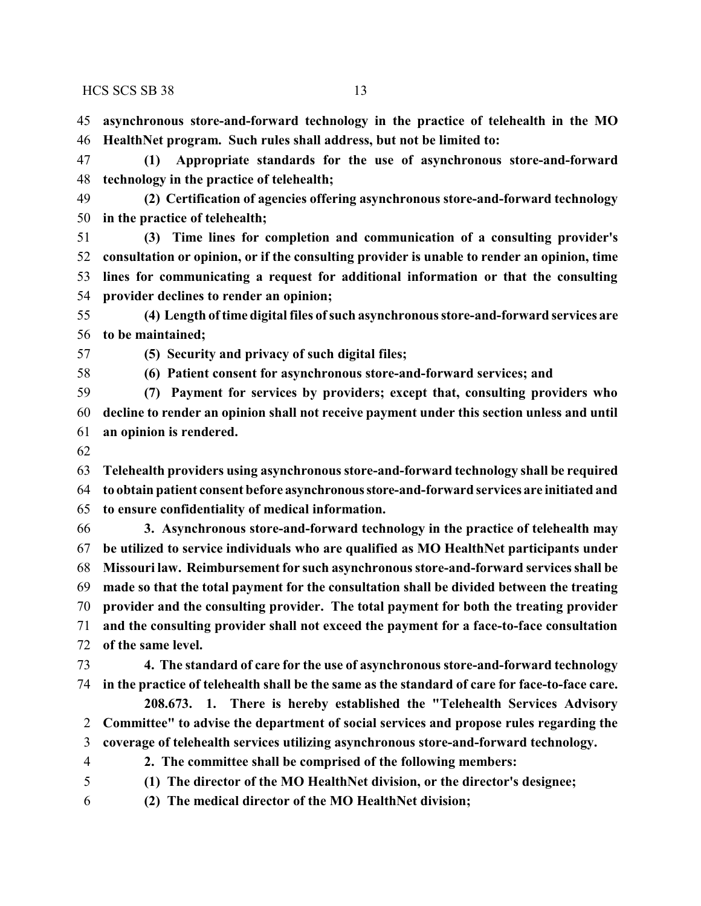**asynchronous store-and-forward technology in the practice of telehealth in the MO HealthNet program. Such rules shall address, but not be limited to:**

 **(1) Appropriate standards for the use of asynchronous store-and-forward technology in the practice of telehealth;**

 **(2) Certification of agencies offering asynchronous store-and-forward technology in the practice of telehealth;**

 **(3) Time lines for completion and communication of a consulting provider's consultation or opinion, or if the consulting provider is unable to render an opinion, time lines for communicating a request for additional information or that the consulting provider declines to render an opinion;**

 **(4) Length oftime digital files ofsuch asynchronous store-and-forward services are to be maintained;**

**(5) Security and privacy of such digital files;**

**(6) Patient consent for asynchronous store-and-forward services; and**

 **(7) Payment for services by providers; except that, consulting providers who decline to render an opinion shall not receive payment under this section unless and until an opinion is rendered.**

 **Telehealth providers using asynchronous store-and-forward technology shall be required to obtain patient consent before asynchronousstore-and-forward services are initiated and to ensure confidentiality of medical information.**

 **3. Asynchronous store-and-forward technology in the practice of telehealth may be utilized to service individuals who are qualified as MO HealthNet participants under Missouri law. Reimbursement for such asynchronous store-and-forward services shall be made so that the total payment for the consultation shall be divided between the treating provider and the consulting provider. The total payment for both the treating provider and the consulting provider shall not exceed the payment for a face-to-face consultation of the same level.**

 **4. The standard of care for the use of asynchronous store-and-forward technology in the practice of telehealth shall be the same as the standard of care for face-to-face care.**

**208.673. 1. There is hereby established the "Telehealth Services Advisory Committee" to advise the department of social services and propose rules regarding the coverage of telehealth services utilizing asynchronous store-and-forward technology.**

**2. The committee shall be comprised of the following members:**

**(1) The director of the MO HealthNet division, or the director's designee;**

**(2) The medical director of the MO HealthNet division;**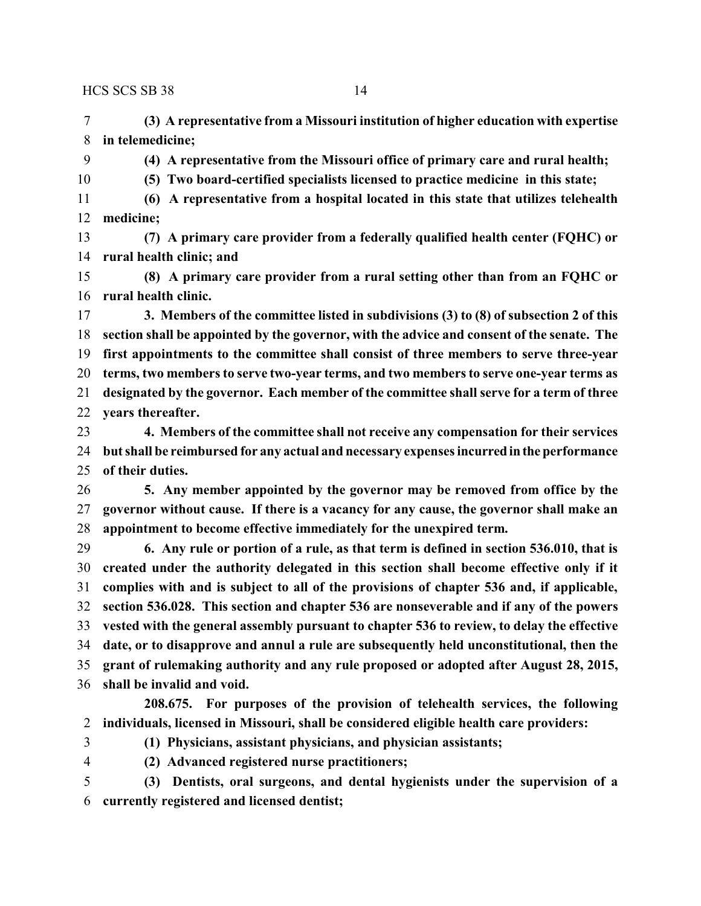**(3) A representative from a Missouri institution of higher education with expertise in telemedicine;**

**(4) A representative from the Missouri office of primary care and rural health;**

**(5) Two board-certified specialists licensed to practice medicine in this state;**

 **(6) A representative from a hospital located in this state that utilizes telehealth medicine;**

 **(7) A primary care provider from a federally qualified health center (FQHC) or rural health clinic; and**

 **(8) A primary care provider from a rural setting other than from an FQHC or rural health clinic.**

 **3. Members of the committee listed in subdivisions (3) to (8) of subsection 2 of this section shall be appointed by the governor, with the advice and consent of the senate. The first appointments to the committee shall consist of three members to serve three-year terms, two members to serve two-year terms, and two members to serve one-year terms as designated by the governor. Each member of the committee shall serve for a term of three years thereafter.**

 **4. Members of the committee shall not receive any compensation for their services but shall be reimbursed for any actual and necessary expenses incurredin the performance of their duties.**

 **5. Any member appointed by the governor may be removed from office by the governor without cause. If there is a vacancy for any cause, the governor shall make an appointment to become effective immediately for the unexpired term.**

 **6. Any rule or portion of a rule, as that term is defined in section 536.010, that is created under the authority delegated in this section shall become effective only if it complies with and is subject to all of the provisions of chapter 536 and, if applicable, section 536.028. This section and chapter 536 are nonseverable and if any of the powers vested with the general assembly pursuant to chapter 536 to review, to delay the effective date, or to disapprove and annul a rule are subsequently held unconstitutional, then the grant of rulemaking authority and any rule proposed or adopted after August 28, 2015, shall be invalid and void.**

**208.675. For purposes of the provision of telehealth services, the following individuals, licensed in Missouri, shall be considered eligible health care providers:**

**(1) Physicians, assistant physicians, and physician assistants;**

**(2) Advanced registered nurse practitioners;**

 **(3) Dentists, oral surgeons, and dental hygienists under the supervision of a currently registered and licensed dentist;**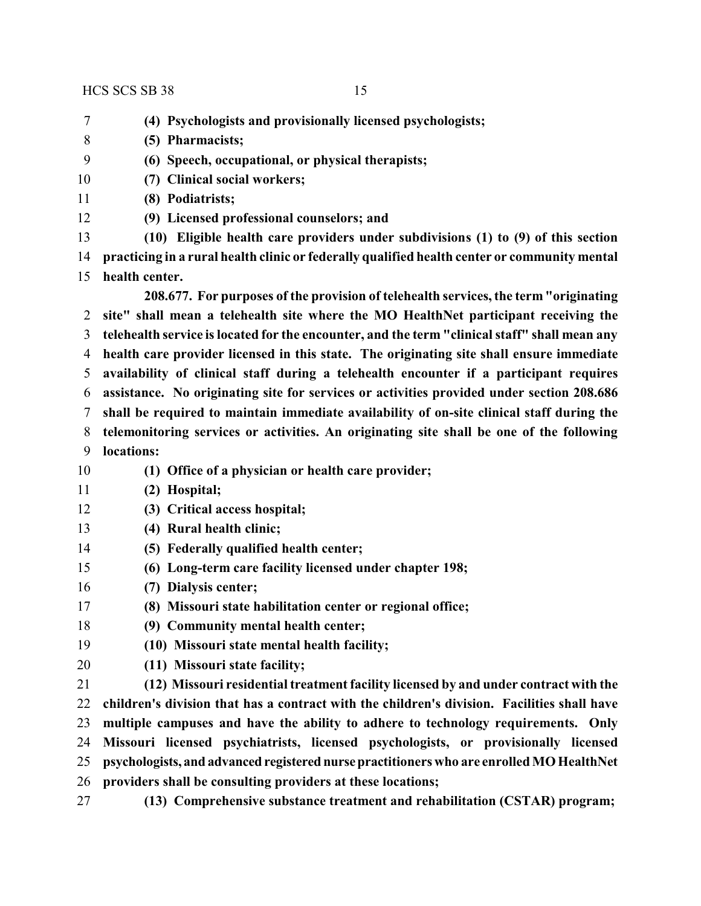- **(4) Psychologists and provisionally licensed psychologists;**
- **(5) Pharmacists;**
- **(6) Speech, occupational, or physical therapists;**
- **(7) Clinical social workers;**
- **(8) Podiatrists;**
- **(9) Licensed professional counselors; and**

 **(10) Eligible health care providers under subdivisions (1) to (9) of this section practicing in a rural health clinic or federally qualified health center or community mental health center.**

**208.677. For purposes of the provision of telehealth services, the term "originating site" shall mean a telehealth site where the MO HealthNet participant receiving the telehealth service is located for the encounter, and the term "clinical staff" shall mean any health care provider licensed in this state. The originating site shall ensure immediate availability of clinical staff during a telehealth encounter if a participant requires assistance. No originating site for services or activities provided under section 208.686 shall be required to maintain immediate availability of on-site clinical staff during the telemonitoring services or activities. An originating site shall be one of the following locations:**

- **(1) Office of a physician or health care provider;**
- **(2) Hospital;**
- **(3) Critical access hospital;**
- **(4) Rural health clinic;**
- **(5) Federally qualified health center;**
- **(6) Long-term care facility licensed under chapter 198;**
- **(7) Dialysis center;**
- **(8) Missouri state habilitation center or regional office;**
- **(9) Community mental health center;**
- **(10) Missouri state mental health facility;**
- **(11) Missouri state facility;**

 **(12) Missouri residential treatment facility licensed by and under contract with the children's division that has a contract with the children's division. Facilities shall have multiple campuses and have the ability to adhere to technology requirements. Only Missouri licensed psychiatrists, licensed psychologists, or provisionally licensed psychologists, and advanced registered nursepractitioners who are enrolled MO HealthNet providers shall be consulting providers at these locations;**

**(13) Comprehensive substance treatment and rehabilitation (CSTAR) program;**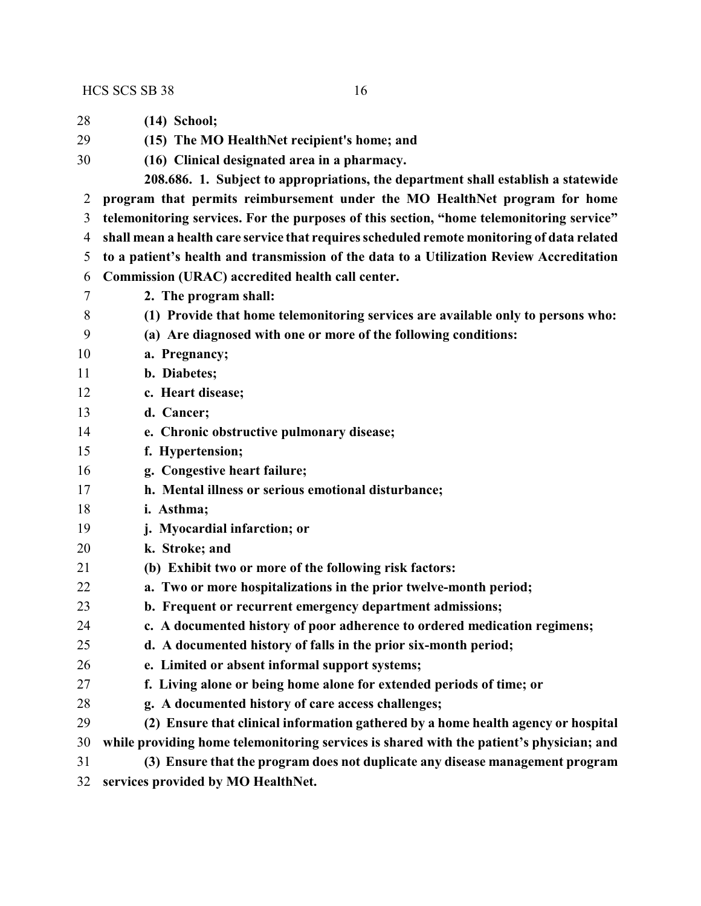**(14) School; (15) The MO HealthNet recipient's home; and (16) Clinical designated area in a pharmacy. 208.686. 1. Subject to appropriations, the department shall establish a statewide program that permits reimbursement under the MO HealthNet program for home telemonitoring services. For the purposes of this section, "home telemonitoring service" shall mean a health care service that requires scheduled remote monitoring of data related to a patient's health and transmission of the data to a Utilization Review Accreditation Commission (URAC) accredited health call center. 2. The program shall: (1) Provide that home telemonitoring services are available only to persons who: (a) Are diagnosed with one or more of the following conditions: a. Pregnancy; b. Diabetes; c. Heart disease; d. Cancer; e. Chronic obstructive pulmonary disease; f. Hypertension; g. Congestive heart failure; h. Mental illness or serious emotional disturbance; i. Asthma; j. Myocardial infarction; or k. Stroke; and (b) Exhibit two or more of the following risk factors: a. Two or more hospitalizations in the prior twelve-month period; b. Frequent or recurrent emergency department admissions; c. A documented history of poor adherence to ordered medication regimens; d. A documented history of falls in the prior six-month period; e. Limited or absent informal support systems; f. Living alone or being home alone for extended periods of time; or g. A documented history of care access challenges; (2) Ensure that clinical information gathered by a home health agency or hospital**

 **while providing home telemonitoring services is shared with the patient's physician; and (3) Ensure that the program does not duplicate any disease management program**

**services provided by MO HealthNet.**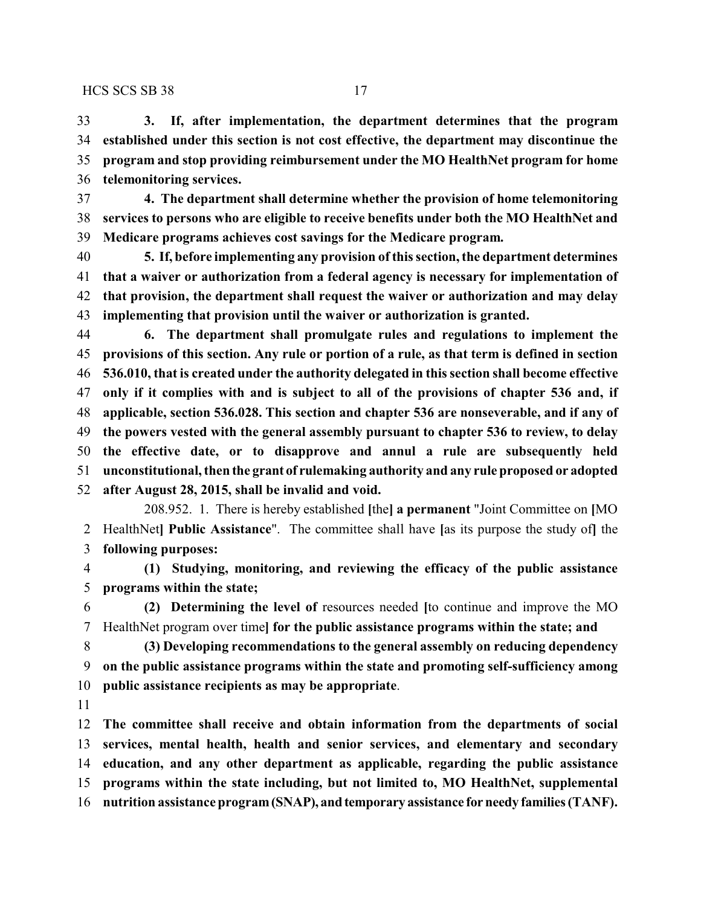**3. If, after implementation, the department determines that the program established under this section is not cost effective, the department may discontinue the program and stop providing reimbursement under the MO HealthNet program for home telemonitoring services.**

 **4. The department shall determine whether the provision of home telemonitoring services to persons who are eligible to receive benefits under both the MO HealthNet and Medicare programs achieves cost savings for the Medicare program.**

 **5. If, before implementing any provision of this section, the department determines that a waiver or authorization from a federal agency is necessary for implementation of that provision, the department shall request the waiver or authorization and may delay implementing that provision until the waiver or authorization is granted.**

 **6. The department shall promulgate rules and regulations to implement the provisions of this section. Any rule or portion of a rule, as that term is defined in section 536.010, that is created under the authority delegated in this section shall become effective only if it complies with and is subject to all of the provisions of chapter 536 and, if applicable, section 536.028. This section and chapter 536 are nonseverable, and if any of the powers vested with the general assembly pursuant to chapter 536 to review, to delay the effective date, or to disapprove and annul a rule are subsequently held unconstitutional, then the grant of rulemaking authority and any rule proposed or adopted after August 28, 2015, shall be invalid and void.**

208.952. 1. There is hereby established **[**the**] a permanent** "Joint Committee on **[**MO HealthNet**] Public Assistance**". The committee shall have **[**as its purpose the study of**]** the **following purposes:**

 **(1) Studying, monitoring, and reviewing the efficacy of the public assistance programs within the state;**

 **(2) Determining the level of** resources needed **[**to continue and improve the MO HealthNet program over time**] for the public assistance programs within the state; and**

 **(3) Developing recommendations to the general assembly on reducing dependency on the public assistance programs within the state and promoting self-sufficiency among public assistance recipients as may be appropriate**.

 **The committee shall receive and obtain information from the departments of social services, mental health, health and senior services, and elementary and secondary education, and any other department as applicable, regarding the public assistance programs within the state including, but not limited to, MO HealthNet, supplemental nutrition assistance program(SNAP), andtemporary assistance forneedy families (TANF).**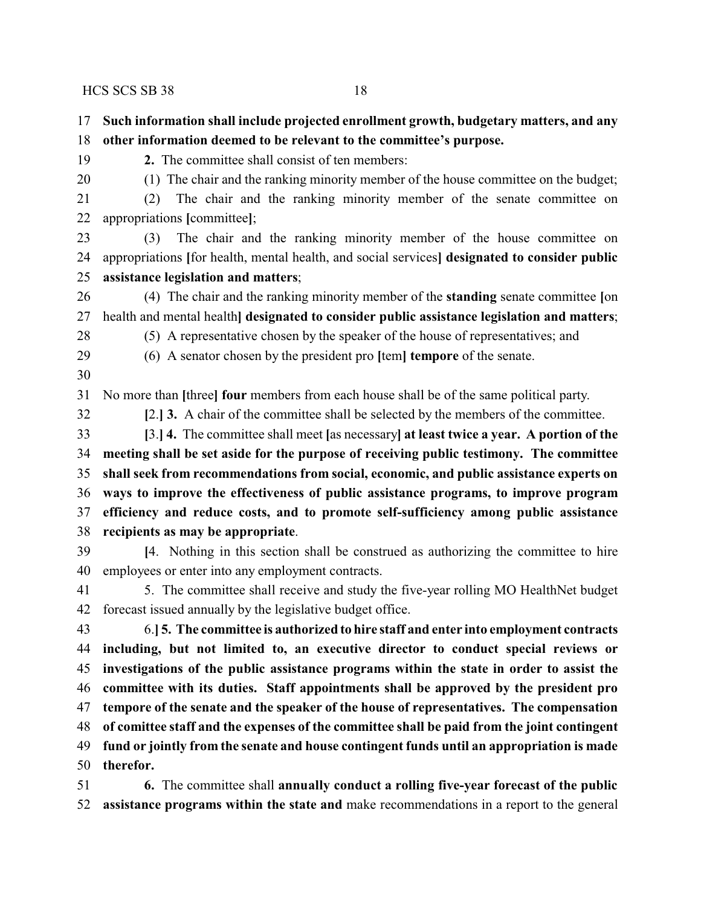- **Such information shall include projected enrollment growth, budgetary matters, and any other information deemed to be relevant to the committee's purpose.**
- **2.** The committee shall consist of ten members:
- (1) The chair and the ranking minority member of the house committee on the budget;
- (2) The chair and the ranking minority member of the senate committee on appropriations **[**committee**]**;
- (3) The chair and the ranking minority member of the house committee on appropriations **[**for health, mental health, and social services**] designated to consider public assistance legislation and matters**;
- (4) The chair and the ranking minority member of the **standing** senate committee **[**on health and mental health**] designated to consider public assistance legislation and matters**;
- 
- (5) A representative chosen by the speaker of the house of representatives; and (6) A senator chosen by the president pro **[**tem**] tempore** of the senate.
- 

No more than **[**three**] four** members from each house shall be of the same political party.

**[**2.**] 3.** A chair of the committee shall be selected by the members of the committee.

- **[**3.**] 4.** The committee shall meet **[**as necessary**] at least twice a year. A portion of the meeting shall be set aside for the purpose of receiving public testimony. The committee shall seek from recommendations from social, economic, and public assistance experts on ways to improve the effectiveness of public assistance programs, to improve program efficiency and reduce costs, and to promote self-sufficiency among public assistance recipients as may be appropriate**.
- **[**4. Nothing in this section shall be construed as authorizing the committee to hire employees or enter into any employment contracts.
- 5. The committee shall receive and study the five-year rolling MO HealthNet budget forecast issued annually by the legislative budget office.
- 6.**] 5. The committee is authorized to hire staff and enter into employment contracts including, but not limited to, an executive director to conduct special reviews or investigations of the public assistance programs within the state in order to assist the committee with its duties. Staff appointments shall be approved by the president pro tempore of the senate and the speaker of the house of representatives. The compensation of comittee staff and the expenses of the committee shall be paid from the joint contingent fund or jointly from the senate and house contingent funds until an appropriation is made therefor.**
- **6.** The committee shall **annually conduct a rolling five-year forecast of the public assistance programs within the state and** make recommendations in a report to the general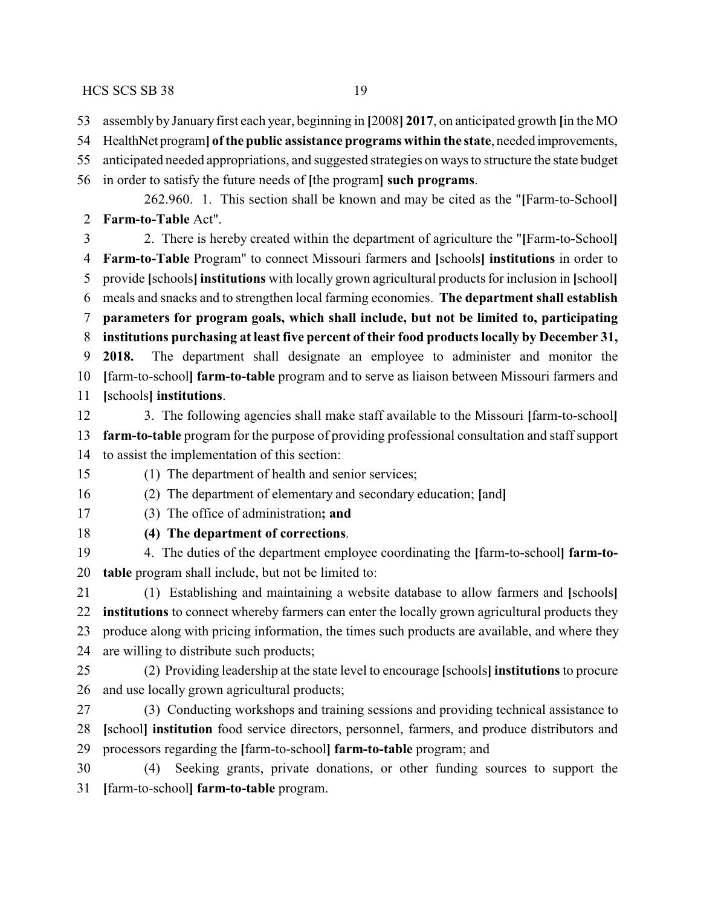- assembly by January first each year, beginning in **[**2008**] 2017**, on anticipated growth **[**in the MO
- HealthNet program**] ofthe public assistance programs within the state**, needed improvements,
- anticipated needed appropriations, and suggested strategies on ways to structure the state budget

in order to satisfy the future needs of **[**the program**] such programs**.

262.960. 1. This section shall be known and may be cited as the "**[**Farm-to-School**] Farm-to-Table** Act".

 2. There is hereby created within the department of agriculture the "**[**Farm-to-School**] Farm-to-Table** Program" to connect Missouri farmers and **[**schools**] institutions** in order to provide **[**schools**] institutions** with locally grown agricultural products for inclusion in **[**school**]** meals and snacks and to strengthen local farming economies. **The department shall establish parameters for program goals, which shall include, but not be limited to, participating institutions purchasing at least five percent of their food products locally by December 31, 2018.** The department shall designate an employee to administer and monitor the **[**farm-to-school**] farm-to-table** program and to serve as liaison between Missouri farmers and **[**schools**] institutions**.

- 3. The following agencies shall make staff available to the Missouri **[**farm-to-school**] farm-to-table** program for the purpose of providing professional consultation and staff support to assist the implementation of this section:
- (1) The department of health and senior services;
- (2) The department of elementary and secondary education; **[**and**]**
- (3) The office of administration**; and**
- 

# **(4) The department of corrections**.

 4. The duties of the department employee coordinating the **[**farm-to-school**] farm-to-table** program shall include, but not be limited to:

 (1) Establishing and maintaining a website database to allow farmers and **[**schools**] institutions** to connect whereby farmers can enter the locally grown agricultural products they produce along with pricing information, the times such products are available, and where they are willing to distribute such products;

 (2) Providing leadership at the state level to encourage **[**schools**] institutions** to procure and use locally grown agricultural products;

 (3) Conducting workshops and training sessions and providing technical assistance to **[**school**] institution** food service directors, personnel, farmers, and produce distributors and processors regarding the **[**farm-to-school**] farm-to-table** program; and

 (4) Seeking grants, private donations, or other funding sources to support the **[**farm-to-school**] farm-to-table** program.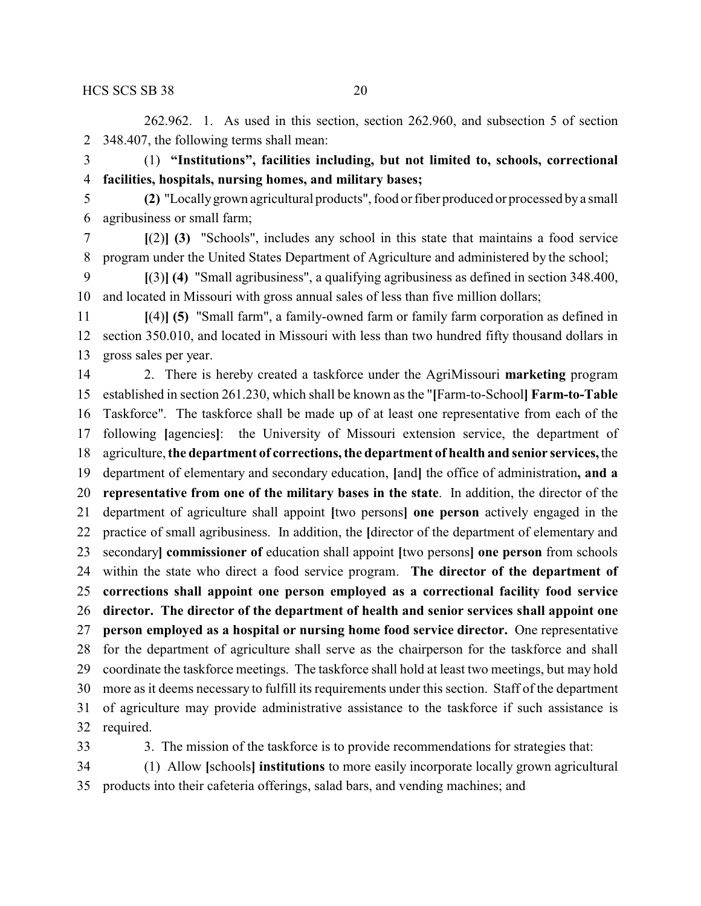262.962. 1. As used in this section, section 262.960, and subsection 5 of section 348.407, the following terms shall mean:

 (1) **"Institutions", facilities including, but not limited to, schools, correctional facilities, hospitals, nursing homes, and military bases;**

- **(2)** "Locallygrown agricultural products", food or fiber produced or processed bya small agribusiness or small farm;
- **[**(2)**] (3)** "Schools", includes any school in this state that maintains a food service program under the United States Department of Agriculture and administered by the school;

 **[**(3)**] (4)** "Small agribusiness", a qualifying agribusiness as defined in section 348.400, and located in Missouri with gross annual sales of less than five million dollars;

- **[**(4)**] (5)** "Small farm", a family-owned farm or family farm corporation as defined in section 350.010, and located in Missouri with less than two hundred fifty thousand dollars in gross sales per year.
- 2. There is hereby created a taskforce under the AgriMissouri **marketing** program established in section 261.230, which shall be known as the "**[**Farm-to-School**] Farm-to-Table** Taskforce". The taskforce shall be made up of at least one representative from each of the following **[**agencies**]**: the University of Missouri extension service, the department of agriculture, **the department of corrections, the department of health and senior services,** the department of elementary and secondary education, **[**and**]** the office of administration**, and a representative from one of the military bases in the state**. In addition, the director of the department of agriculture shall appoint **[**two persons**] one person** actively engaged in the practice of small agribusiness. In addition, the **[**director of the department of elementary and secondary**] commissioner of** education shall appoint **[**two persons**] one person** from schools within the state who direct a food service program. **The director of the department of corrections shall appoint one person employed as a correctional facility food service director. The director of the department of health and senior services shall appoint one person employed as a hospital or nursing home food service director.** One representative for the department of agriculture shall serve as the chairperson for the taskforce and shall coordinate the taskforce meetings. The taskforce shall hold at least two meetings, but may hold more as it deems necessary to fulfill its requirements under this section. Staff of the department of agriculture may provide administrative assistance to the taskforce if such assistance is required.
- 

3. The mission of the taskforce is to provide recommendations for strategies that:

 (1) Allow **[**schools**] institutions** to more easily incorporate locally grown agricultural products into their cafeteria offerings, salad bars, and vending machines; and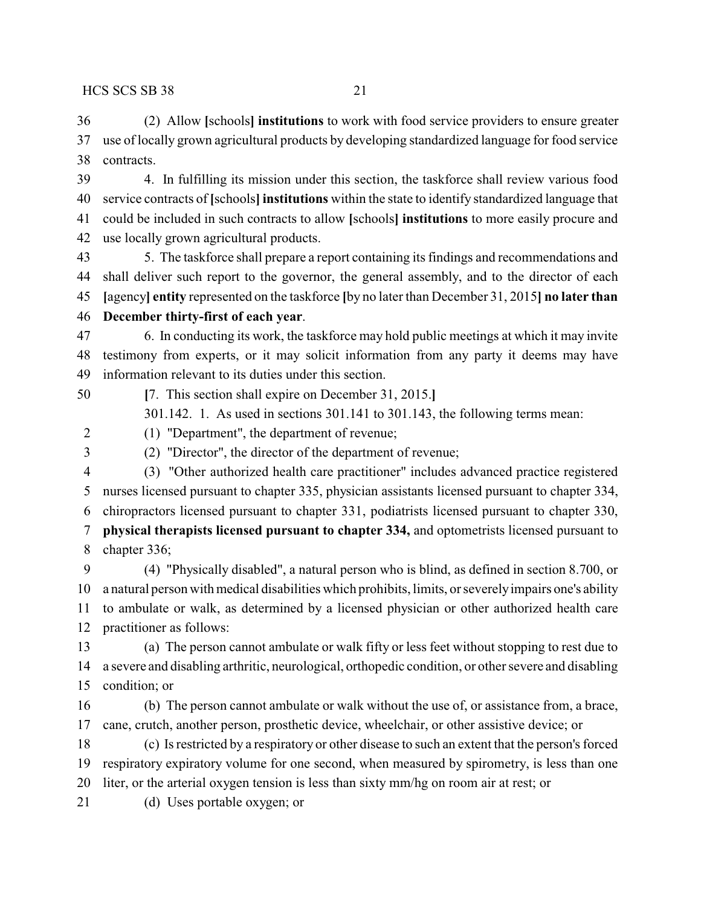(2) Allow **[**schools**] institutions** to work with food service providers to ensure greater use of locally grown agricultural products by developing standardized language for food service contracts.

 4. In fulfilling its mission under this section, the taskforce shall review various food service contracts of **[**schools**] institutions** within the state to identify standardized language that could be included in such contracts to allow **[**schools**] institutions** to more easily procure and use locally grown agricultural products.

 5. The taskforce shall prepare a report containing its findings and recommendations and shall deliver such report to the governor, the general assembly, and to the director of each **[**agency**] entity** represented on the taskforce **[**by no later than December 31, 2015**] no later than**

### **December thirty-first of each year**.

 6. In conducting its work, the taskforce may hold public meetings at which it may invite testimony from experts, or it may solicit information from any party it deems may have information relevant to its duties under this section.

**[**7. This section shall expire on December 31, 2015.**]**

301.142. 1. As used in sections 301.141 to 301.143, the following terms mean:

(1) "Department", the department of revenue;

(2) "Director", the director of the department of revenue;

 (3) "Other authorized health care practitioner" includes advanced practice registered nurses licensed pursuant to chapter 335, physician assistants licensed pursuant to chapter 334, chiropractors licensed pursuant to chapter 331, podiatrists licensed pursuant to chapter 330, **physical therapists licensed pursuant to chapter 334,** and optometrists licensed pursuant to chapter 336;

 (4) "Physically disabled", a natural person who is blind, as defined in section 8.700, or a natural person with medical disabilities which prohibits, limits, or severelyimpairs one's ability to ambulate or walk, as determined by a licensed physician or other authorized health care practitioner as follows:

 (a) The person cannot ambulate or walk fifty or less feet without stopping to rest due to a severe and disabling arthritic, neurological, orthopedic condition, or other severe and disabling condition; or

 (b) The person cannot ambulate or walk without the use of, or assistance from, a brace, cane, crutch, another person, prosthetic device, wheelchair, or other assistive device; or

 (c) Is restricted by a respiratory or other disease to such an extent that the person's forced respiratory expiratory volume for one second, when measured by spirometry, is less than one liter, or the arterial oxygen tension is less than sixty mm/hg on room air at rest; or

(d) Uses portable oxygen; or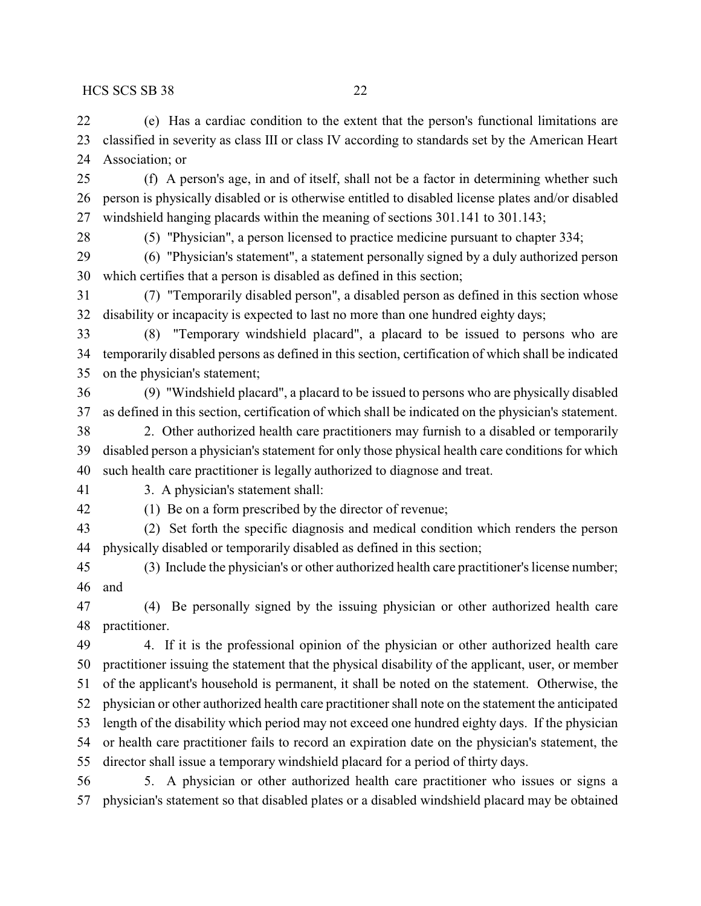(e) Has a cardiac condition to the extent that the person's functional limitations are classified in severity as class III or class IV according to standards set by the American Heart Association; or

 (f) A person's age, in and of itself, shall not be a factor in determining whether such person is physically disabled or is otherwise entitled to disabled license plates and/or disabled windshield hanging placards within the meaning of sections 301.141 to 301.143;

(5) "Physician", a person licensed to practice medicine pursuant to chapter 334;

 (6) "Physician's statement", a statement personally signed by a duly authorized person which certifies that a person is disabled as defined in this section;

 (7) "Temporarily disabled person", a disabled person as defined in this section whose disability or incapacity is expected to last no more than one hundred eighty days;

 (8) "Temporary windshield placard", a placard to be issued to persons who are temporarily disabled persons as defined in this section, certification of which shall be indicated on the physician's statement;

 (9) "Windshield placard", a placard to be issued to persons who are physically disabled as defined in this section, certification of which shall be indicated on the physician's statement.

 2. Other authorized health care practitioners may furnish to a disabled or temporarily disabled person a physician's statement for only those physical health care conditions for which such health care practitioner is legally authorized to diagnose and treat.

3. A physician's statement shall:

(1) Be on a form prescribed by the director of revenue;

 (2) Set forth the specific diagnosis and medical condition which renders the person physically disabled or temporarily disabled as defined in this section;

 (3) Include the physician's or other authorized health care practitioner's license number; and

 (4) Be personally signed by the issuing physician or other authorized health care practitioner.

 4. If it is the professional opinion of the physician or other authorized health care practitioner issuing the statement that the physical disability of the applicant, user, or member of the applicant's household is permanent, it shall be noted on the statement. Otherwise, the physician or other authorized health care practitioner shall note on the statement the anticipated length of the disability which period may not exceed one hundred eighty days. If the physician or health care practitioner fails to record an expiration date on the physician's statement, the director shall issue a temporary windshield placard for a period of thirty days.

 5. A physician or other authorized health care practitioner who issues or signs a physician's statement so that disabled plates or a disabled windshield placard may be obtained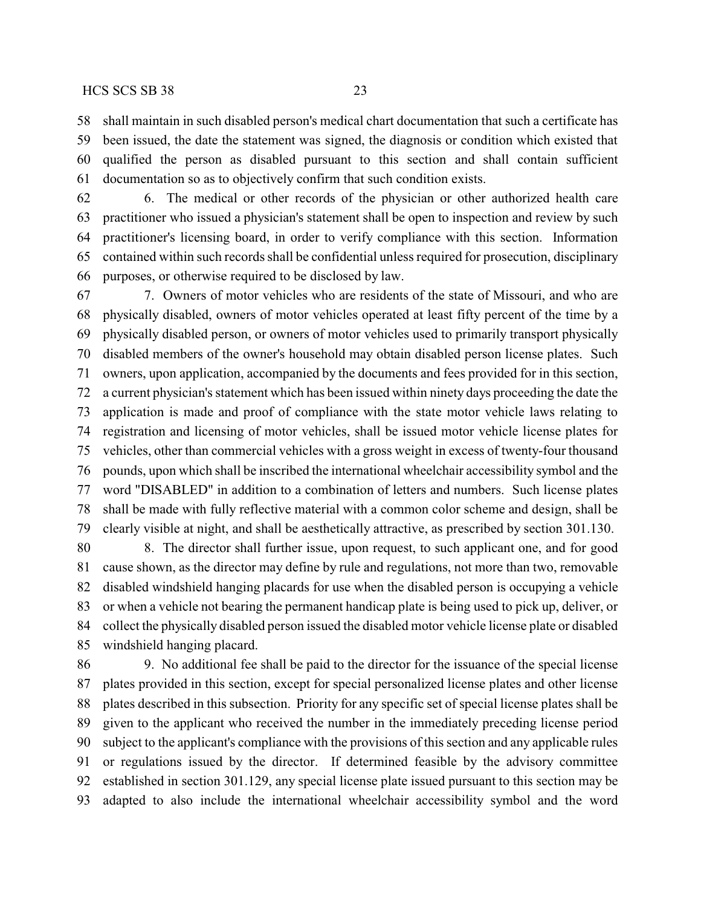shall maintain in such disabled person's medical chart documentation that such a certificate has been issued, the date the statement was signed, the diagnosis or condition which existed that

 qualified the person as disabled pursuant to this section and shall contain sufficient documentation so as to objectively confirm that such condition exists.

 6. The medical or other records of the physician or other authorized health care practitioner who issued a physician's statement shall be open to inspection and review by such practitioner's licensing board, in order to verify compliance with this section. Information contained within such records shall be confidential unless required for prosecution, disciplinary purposes, or otherwise required to be disclosed by law.

 7. Owners of motor vehicles who are residents of the state of Missouri, and who are physically disabled, owners of motor vehicles operated at least fifty percent of the time by a physically disabled person, or owners of motor vehicles used to primarily transport physically disabled members of the owner's household may obtain disabled person license plates. Such owners, upon application, accompanied by the documents and fees provided for in this section, a current physician's statement which has been issued within ninety days proceeding the date the application is made and proof of compliance with the state motor vehicle laws relating to registration and licensing of motor vehicles, shall be issued motor vehicle license plates for vehicles, other than commercial vehicles with a gross weight in excess of twenty-four thousand pounds, upon which shall be inscribed the international wheelchair accessibility symbol and the word "DISABLED" in addition to a combination of letters and numbers. Such license plates shall be made with fully reflective material with a common color scheme and design, shall be clearly visible at night, and shall be aesthetically attractive, as prescribed by section 301.130.

 8. The director shall further issue, upon request, to such applicant one, and for good cause shown, as the director may define by rule and regulations, not more than two, removable disabled windshield hanging placards for use when the disabled person is occupying a vehicle or when a vehicle not bearing the permanent handicap plate is being used to pick up, deliver, or collect the physically disabled person issued the disabled motor vehicle license plate or disabled windshield hanging placard.

 9. No additional fee shall be paid to the director for the issuance of the special license plates provided in this section, except for special personalized license plates and other license plates described in this subsection. Priority for any specific set of special license plates shall be given to the applicant who received the number in the immediately preceding license period subject to the applicant's compliance with the provisions of this section and any applicable rules or regulations issued by the director. If determined feasible by the advisory committee established in section 301.129, any special license plate issued pursuant to this section may be adapted to also include the international wheelchair accessibility symbol and the word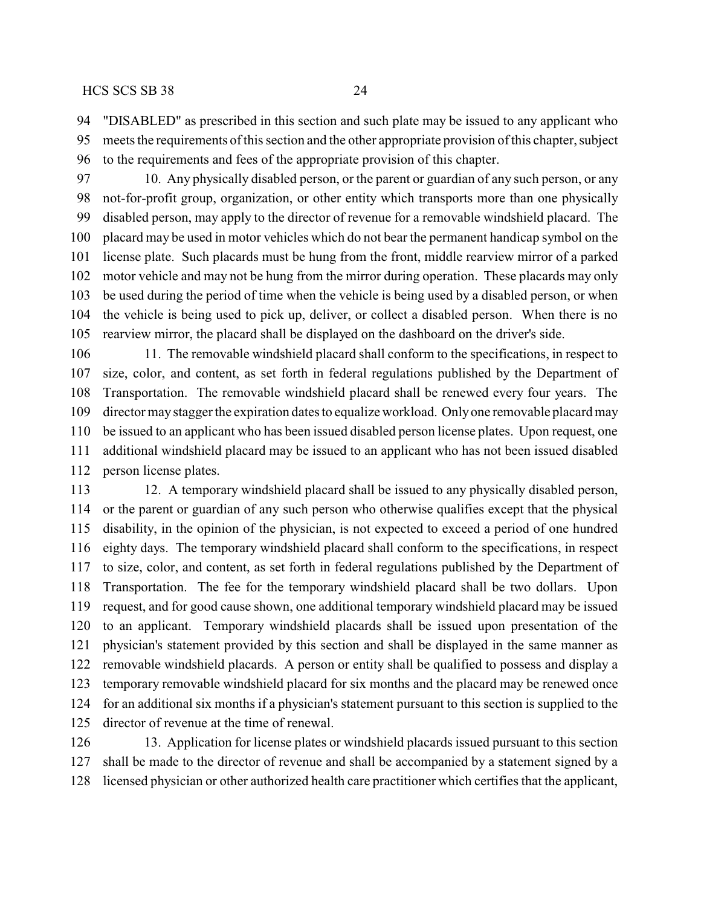"DISABLED" as prescribed in this section and such plate may be issued to any applicant who meets the requirements of this section and the other appropriate provision of this chapter, subject to the requirements and fees of the appropriate provision of this chapter.

 10. Any physically disabled person, or the parent or guardian of any such person, or any not-for-profit group, organization, or other entity which transports more than one physically disabled person, may apply to the director of revenue for a removable windshield placard. The placard may be used in motor vehicles which do not bear the permanent handicap symbol on the license plate. Such placards must be hung from the front, middle rearview mirror of a parked motor vehicle and may not be hung from the mirror during operation. These placards may only be used during the period of time when the vehicle is being used by a disabled person, or when the vehicle is being used to pick up, deliver, or collect a disabled person. When there is no rearview mirror, the placard shall be displayed on the dashboard on the driver's side.

 11. The removable windshield placard shall conform to the specifications, in respect to size, color, and content, as set forth in federal regulations published by the Department of Transportation. The removable windshield placard shall be renewed every four years. The director may stagger the expiration dates to equalize workload. Onlyone removable placard may be issued to an applicant who has been issued disabled person license plates. Upon request, one additional windshield placard may be issued to an applicant who has not been issued disabled person license plates.

 12. A temporary windshield placard shall be issued to any physically disabled person, or the parent or guardian of any such person who otherwise qualifies except that the physical disability, in the opinion of the physician, is not expected to exceed a period of one hundred eighty days. The temporary windshield placard shall conform to the specifications, in respect to size, color, and content, as set forth in federal regulations published by the Department of Transportation. The fee for the temporary windshield placard shall be two dollars. Upon request, and for good cause shown, one additional temporary windshield placard may be issued to an applicant. Temporary windshield placards shall be issued upon presentation of the physician's statement provided by this section and shall be displayed in the same manner as removable windshield placards. A person or entity shall be qualified to possess and display a temporary removable windshield placard for six months and the placard may be renewed once for an additional six months if a physician's statement pursuant to this section is supplied to the director of revenue at the time of renewal.

 13. Application for license plates or windshield placards issued pursuant to this section shall be made to the director of revenue and shall be accompanied by a statement signed by a licensed physician or other authorized health care practitioner which certifies that the applicant,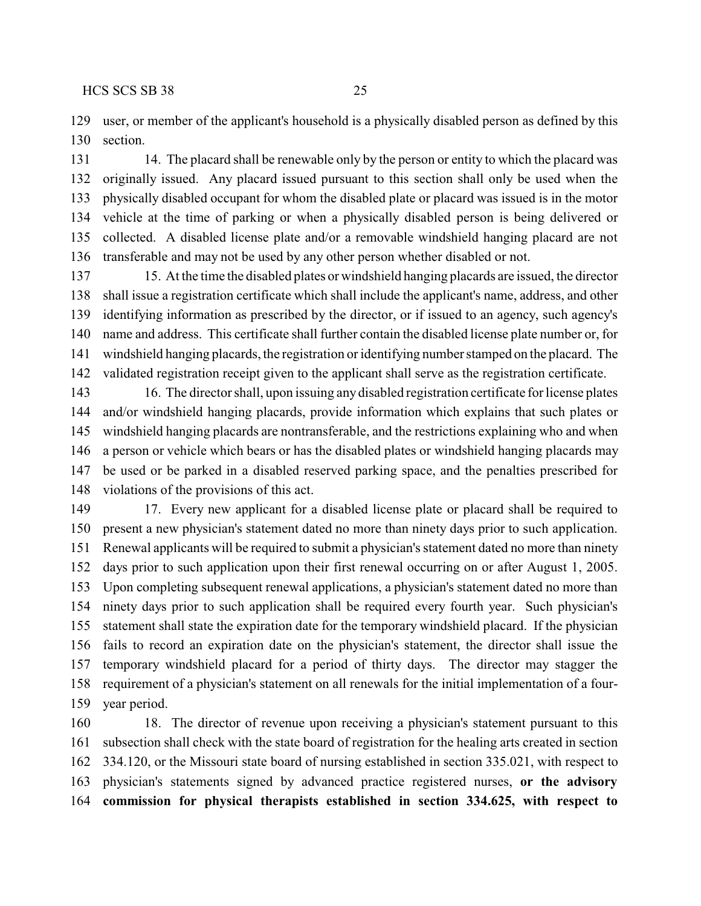user, or member of the applicant's household is a physically disabled person as defined by this section.

 14. The placard shall be renewable only by the person or entity to which the placard was originally issued. Any placard issued pursuant to this section shall only be used when the physically disabled occupant for whom the disabled plate or placard was issued is in the motor vehicle at the time of parking or when a physically disabled person is being delivered or collected. A disabled license plate and/or a removable windshield hanging placard are not transferable and may not be used by any other person whether disabled or not.

 15. At the time the disabled plates or windshield hanging placards are issued, the director shall issue a registration certificate which shall include the applicant's name, address, and other identifying information as prescribed by the director, or if issued to an agency, such agency's name and address. This certificate shall further contain the disabled license plate number or, for windshield hanging placards, the registration or identifying number stamped on the placard. The validated registration receipt given to the applicant shall serve as the registration certificate.

 16. The director shall, upon issuing any disabled registration certificate for license plates and/or windshield hanging placards, provide information which explains that such plates or windshield hanging placards are nontransferable, and the restrictions explaining who and when a person or vehicle which bears or has the disabled plates or windshield hanging placards may be used or be parked in a disabled reserved parking space, and the penalties prescribed for violations of the provisions of this act.

 17. Every new applicant for a disabled license plate or placard shall be required to present a new physician's statement dated no more than ninety days prior to such application. Renewal applicants will be required to submit a physician's statement dated no more than ninety days prior to such application upon their first renewal occurring on or after August 1, 2005. Upon completing subsequent renewal applications, a physician's statement dated no more than ninety days prior to such application shall be required every fourth year. Such physician's statement shall state the expiration date for the temporary windshield placard. If the physician fails to record an expiration date on the physician's statement, the director shall issue the temporary windshield placard for a period of thirty days. The director may stagger the requirement of a physician's statement on all renewals for the initial implementation of a four-year period.

 18. The director of revenue upon receiving a physician's statement pursuant to this subsection shall check with the state board of registration for the healing arts created in section 334.120, or the Missouri state board of nursing established in section 335.021, with respect to physician's statements signed by advanced practice registered nurses, **or the advisory commission for physical therapists established in section 334.625, with respect to**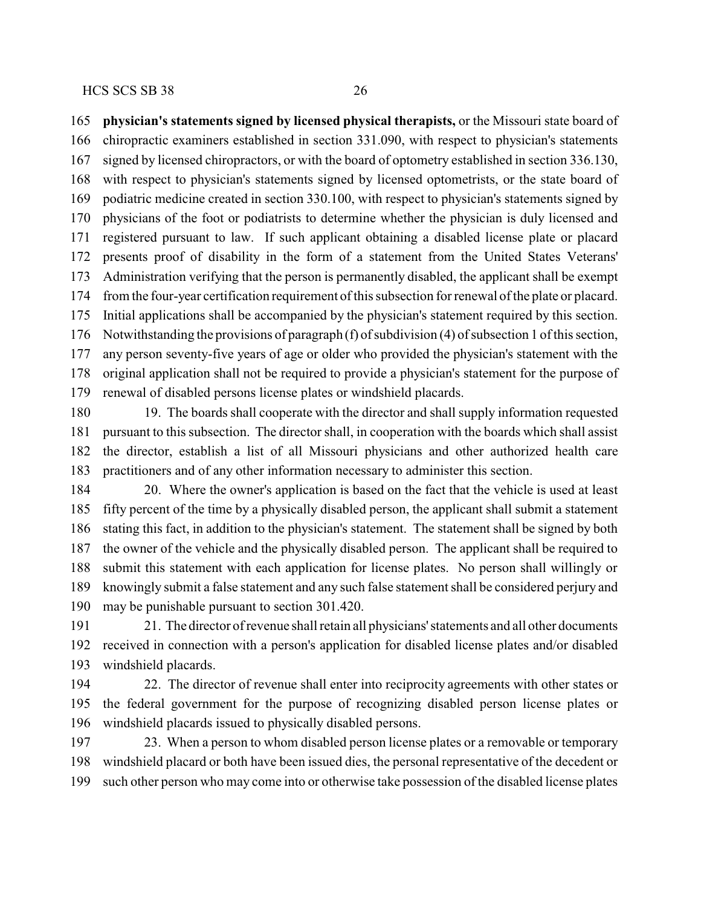**physician's statements signed by licensed physical therapists,** or the Missouri state board of chiropractic examiners established in section 331.090, with respect to physician's statements signed by licensed chiropractors, or with the board of optometry established in section 336.130, with respect to physician's statements signed by licensed optometrists, or the state board of podiatric medicine created in section 330.100, with respect to physician's statements signed by physicians of the foot or podiatrists to determine whether the physician is duly licensed and registered pursuant to law. If such applicant obtaining a disabled license plate or placard presents proof of disability in the form of a statement from the United States Veterans' Administration verifying that the person is permanently disabled, the applicant shall be exempt from the four-year certification requirement of this subsection for renewal of the plate or placard. Initial applications shall be accompanied by the physician's statement required by this section. Notwithstanding the provisions of paragraph (f) of subdivision (4) of subsection 1 of this section, any person seventy-five years of age or older who provided the physician's statement with the original application shall not be required to provide a physician's statement for the purpose of renewal of disabled persons license plates or windshield placards.

 19. The boards shall cooperate with the director and shall supply information requested pursuant to this subsection. The director shall, in cooperation with the boards which shall assist the director, establish a list of all Missouri physicians and other authorized health care practitioners and of any other information necessary to administer this section.

 20. Where the owner's application is based on the fact that the vehicle is used at least fifty percent of the time by a physically disabled person, the applicant shall submit a statement stating this fact, in addition to the physician's statement. The statement shall be signed by both the owner of the vehicle and the physically disabled person. The applicant shall be required to submit this statement with each application for license plates. No person shall willingly or knowingly submit a false statement and any such false statement shall be considered perjury and may be punishable pursuant to section 301.420.

 21. The director of revenue shall retain all physicians'statements and all other documents received in connection with a person's application for disabled license plates and/or disabled windshield placards.

 22. The director of revenue shall enter into reciprocity agreements with other states or the federal government for the purpose of recognizing disabled person license plates or windshield placards issued to physically disabled persons.

 23. When a person to whom disabled person license plates or a removable or temporary windshield placard or both have been issued dies, the personal representative of the decedent or such other person who may come into or otherwise take possession of the disabled license plates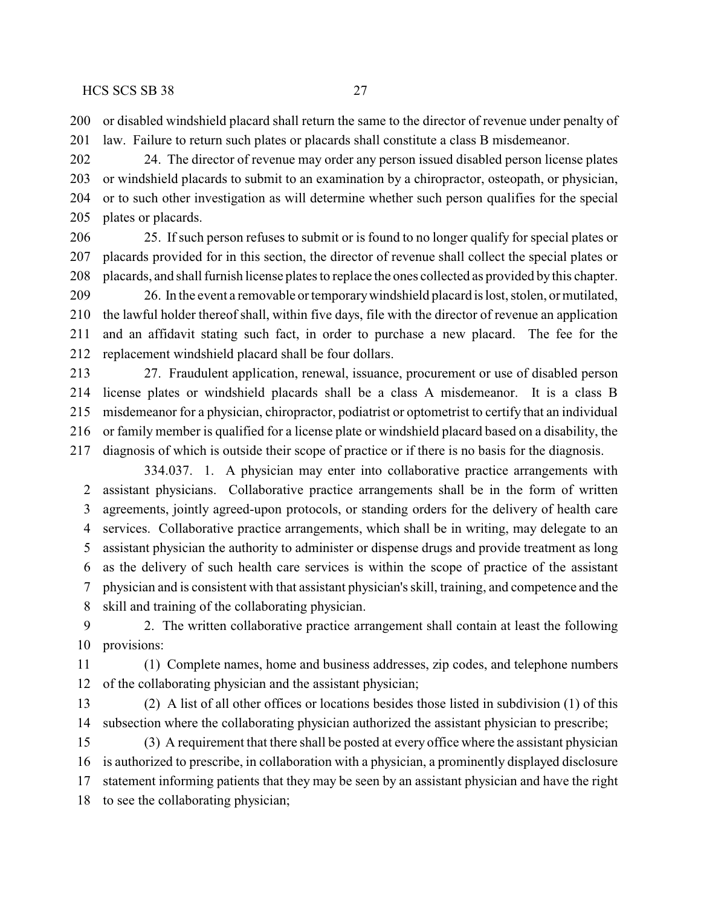or disabled windshield placard shall return the same to the director of revenue under penalty of law. Failure to return such plates or placards shall constitute a class B misdemeanor.

 24. The director of revenue may order any person issued disabled person license plates or windshield placards to submit to an examination by a chiropractor, osteopath, or physician, or to such other investigation as will determine whether such person qualifies for the special plates or placards.

 25. If such person refuses to submit or is found to no longer qualify for special plates or placards provided for in this section, the director of revenue shall collect the special plates or placards, and shall furnish license plates to replace the ones collected as provided bythis chapter.

209 26. In the event a removable or temporary windshield placard is lost, stolen, or mutilated, the lawful holder thereof shall, within five days, file with the director of revenue an application and an affidavit stating such fact, in order to purchase a new placard. The fee for the replacement windshield placard shall be four dollars.

 27. Fraudulent application, renewal, issuance, procurement or use of disabled person license plates or windshield placards shall be a class A misdemeanor. It is a class B misdemeanor for a physician, chiropractor, podiatrist or optometrist to certify that an individual or family member is qualified for a license plate or windshield placard based on a disability, the diagnosis of which is outside their scope of practice or if there is no basis for the diagnosis.

334.037. 1. A physician may enter into collaborative practice arrangements with assistant physicians. Collaborative practice arrangements shall be in the form of written agreements, jointly agreed-upon protocols, or standing orders for the delivery of health care services. Collaborative practice arrangements, which shall be in writing, may delegate to an assistant physician the authority to administer or dispense drugs and provide treatment as long as the delivery of such health care services is within the scope of practice of the assistant physician and is consistent with that assistant physician's skill, training, and competence and the skill and training of the collaborating physician.

 2. The written collaborative practice arrangement shall contain at least the following provisions:

 (1) Complete names, home and business addresses, zip codes, and telephone numbers of the collaborating physician and the assistant physician;

 (2) A list of all other offices or locations besides those listed in subdivision (1) of this subsection where the collaborating physician authorized the assistant physician to prescribe;

 (3) A requirement that there shall be posted at every office where the assistant physician is authorized to prescribe, in collaboration with a physician, a prominently displayed disclosure statement informing patients that they may be seen by an assistant physician and have the right to see the collaborating physician;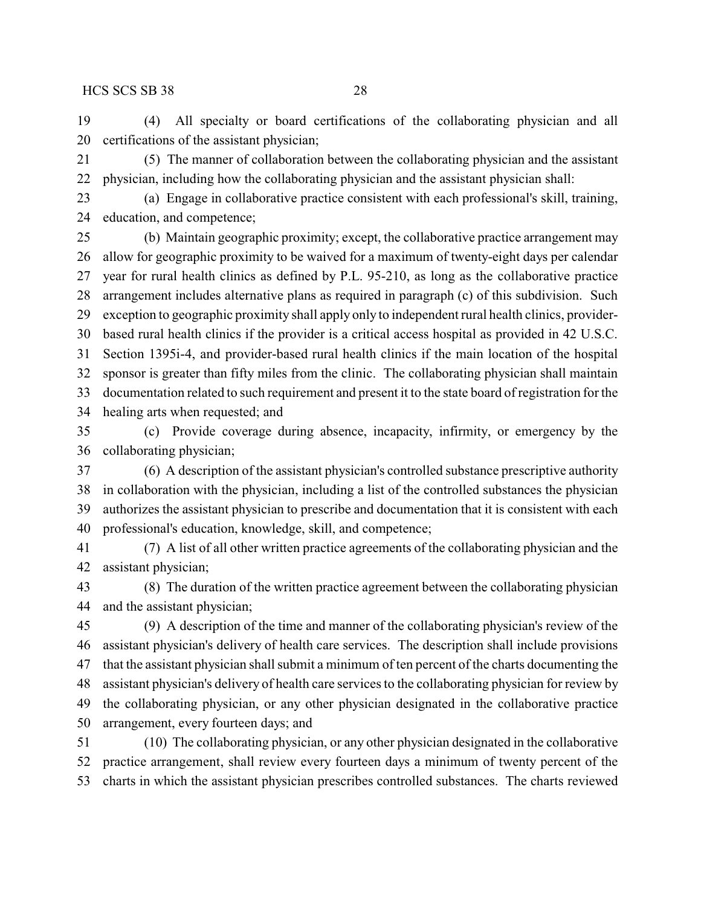(4) All specialty or board certifications of the collaborating physician and all certifications of the assistant physician;

 (5) The manner of collaboration between the collaborating physician and the assistant physician, including how the collaborating physician and the assistant physician shall:

 (a) Engage in collaborative practice consistent with each professional's skill, training, education, and competence;

 (b) Maintain geographic proximity; except, the collaborative practice arrangement may allow for geographic proximity to be waived for a maximum of twenty-eight days per calendar year for rural health clinics as defined by P.L. 95-210, as long as the collaborative practice arrangement includes alternative plans as required in paragraph (c) of this subdivision. Such exception to geographic proximity shall apply only to independent rural health clinics, provider- based rural health clinics if the provider is a critical access hospital as provided in 42 U.S.C. Section 1395i-4, and provider-based rural health clinics if the main location of the hospital sponsor is greater than fifty miles from the clinic. The collaborating physician shall maintain documentation related to such requirement and present it to the state board of registration for the healing arts when requested; and

 (c) Provide coverage during absence, incapacity, infirmity, or emergency by the collaborating physician;

 (6) A description of the assistant physician's controlled substance prescriptive authority in collaboration with the physician, including a list of the controlled substances the physician authorizes the assistant physician to prescribe and documentation that it is consistent with each professional's education, knowledge, skill, and competence;

 (7) A list of all other written practice agreements of the collaborating physician and the assistant physician;

 (8) The duration of the written practice agreement between the collaborating physician and the assistant physician;

 (9) A description of the time and manner of the collaborating physician's review of the assistant physician's delivery of health care services. The description shall include provisions that the assistant physician shall submit a minimum of ten percent of the charts documenting the assistant physician's delivery of health care services to the collaborating physician for review by the collaborating physician, or any other physician designated in the collaborative practice arrangement, every fourteen days; and

 (10) The collaborating physician, or any other physician designated in the collaborative practice arrangement, shall review every fourteen days a minimum of twenty percent of the charts in which the assistant physician prescribes controlled substances. The charts reviewed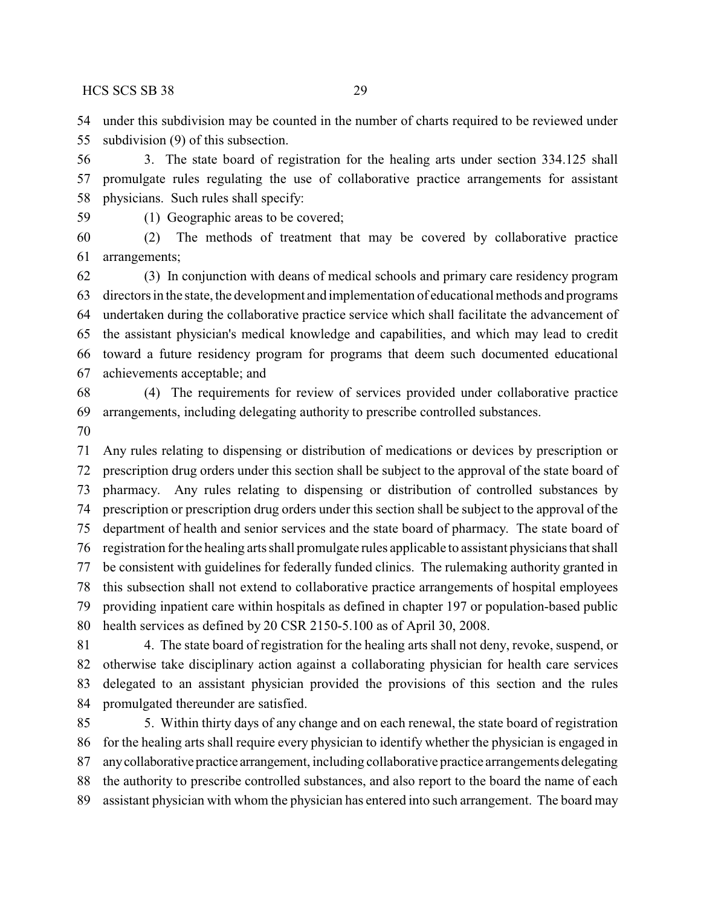under this subdivision may be counted in the number of charts required to be reviewed under subdivision (9) of this subsection.

 3. The state board of registration for the healing arts under section 334.125 shall promulgate rules regulating the use of collaborative practice arrangements for assistant physicians. Such rules shall specify:

(1) Geographic areas to be covered;

 (2) The methods of treatment that may be covered by collaborative practice arrangements;

 (3) In conjunction with deans of medical schools and primary care residency program directors in the state, the development and implementation of educational methods and programs undertaken during the collaborative practice service which shall facilitate the advancement of the assistant physician's medical knowledge and capabilities, and which may lead to credit toward a future residency program for programs that deem such documented educational achievements acceptable; and

 (4) The requirements for review of services provided under collaborative practice arrangements, including delegating authority to prescribe controlled substances.

 Any rules relating to dispensing or distribution of medications or devices by prescription or prescription drug orders under this section shall be subject to the approval of the state board of pharmacy. Any rules relating to dispensing or distribution of controlled substances by prescription or prescription drug orders under this section shall be subject to the approval of the department of health and senior services and the state board of pharmacy. The state board of registration for the healing arts shall promulgate rules applicable to assistant physicians that shall be consistent with guidelines for federally funded clinics. The rulemaking authority granted in this subsection shall not extend to collaborative practice arrangements of hospital employees providing inpatient care within hospitals as defined in chapter 197 or population-based public health services as defined by 20 CSR 2150-5.100 as of April 30, 2008.

 4. The state board of registration for the healing arts shall not deny, revoke, suspend, or otherwise take disciplinary action against a collaborating physician for health care services delegated to an assistant physician provided the provisions of this section and the rules promulgated thereunder are satisfied.

 5. Within thirty days of any change and on each renewal, the state board of registration for the healing arts shall require every physician to identify whether the physician is engaged in anycollaborative practice arrangement, including collaborative practice arrangements delegating the authority to prescribe controlled substances, and also report to the board the name of each assistant physician with whom the physician has entered into such arrangement. The board may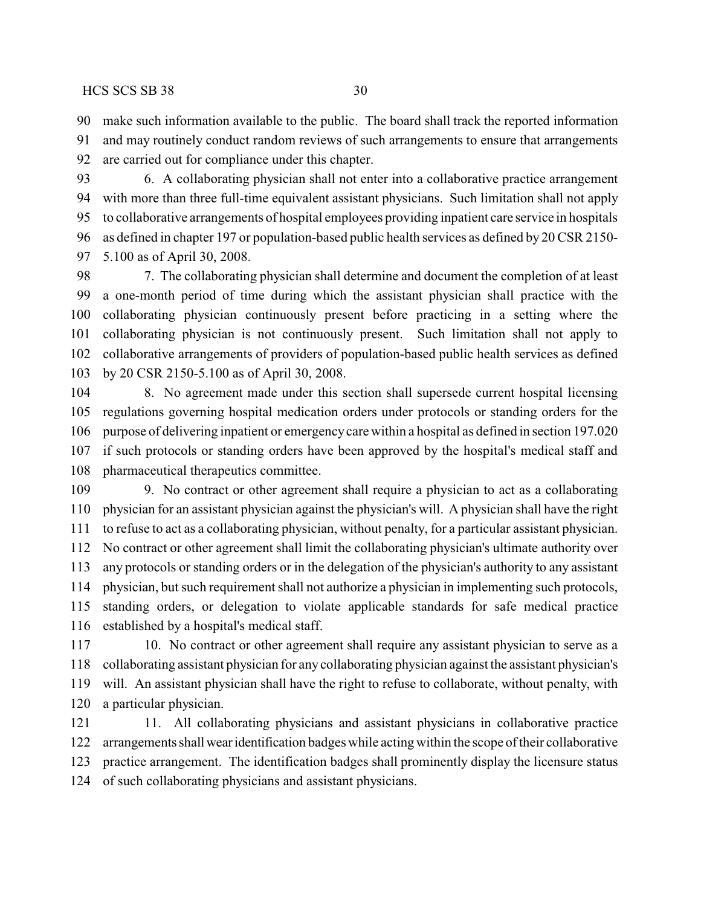make such information available to the public. The board shall track the reported information and may routinely conduct random reviews of such arrangements to ensure that arrangements

are carried out for compliance under this chapter.

 6. A collaborating physician shall not enter into a collaborative practice arrangement with more than three full-time equivalent assistant physicians. Such limitation shall not apply to collaborative arrangements of hospital employees providing inpatient care service in hospitals as defined in chapter 197 or population-based public health services as defined by 20 CSR 2150- 5.100 as of April 30, 2008.

 7. The collaborating physician shall determine and document the completion of at least a one-month period of time during which the assistant physician shall practice with the collaborating physician continuously present before practicing in a setting where the collaborating physician is not continuously present. Such limitation shall not apply to collaborative arrangements of providers of population-based public health services as defined by 20 CSR 2150-5.100 as of April 30, 2008.

 8. No agreement made under this section shall supersede current hospital licensing regulations governing hospital medication orders under protocols or standing orders for the purpose of delivering inpatient or emergencycare within a hospital as defined in section 197.020 if such protocols or standing orders have been approved by the hospital's medical staff and pharmaceutical therapeutics committee.

 9. No contract or other agreement shall require a physician to act as a collaborating physician for an assistant physician against the physician's will. A physician shall have the right to refuse to act as a collaborating physician, without penalty, for a particular assistant physician. No contract or other agreement shall limit the collaborating physician's ultimate authority over any protocols or standing orders or in the delegation of the physician's authority to any assistant physician, but such requirement shall not authorize a physician in implementing such protocols, standing orders, or delegation to violate applicable standards for safe medical practice established by a hospital's medical staff.

 10. No contract or other agreement shall require any assistant physician to serve as a collaborating assistant physician for any collaborating physician against the assistant physician's will. An assistant physician shall have the right to refuse to collaborate, without penalty, with a particular physician.

 11. All collaborating physicians and assistant physicians in collaborative practice arrangements shallwearidentification badges while acting within the scope of their collaborative practice arrangement. The identification badges shall prominently display the licensure status of such collaborating physicians and assistant physicians.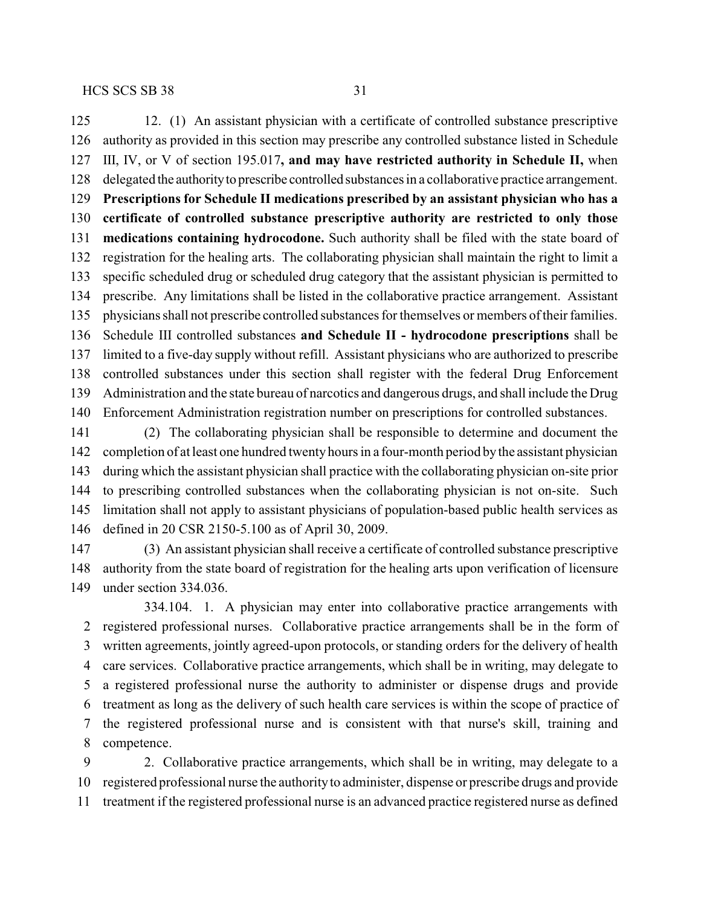12. (1) An assistant physician with a certificate of controlled substance prescriptive authority as provided in this section may prescribe any controlled substance listed in Schedule III, IV, or V of section 195.017**, and may have restricted authority in Schedule II,** when delegated the authorityto prescribe controlled substances in a collaborative practice arrangement. **Prescriptions for Schedule II medications prescribed by an assistant physician who has a certificate of controlled substance prescriptive authority are restricted to only those medications containing hydrocodone.** Such authority shall be filed with the state board of registration for the healing arts. The collaborating physician shall maintain the right to limit a specific scheduled drug or scheduled drug category that the assistant physician is permitted to prescribe. Any limitations shall be listed in the collaborative practice arrangement. Assistant physicians shall not prescribe controlled substances for themselves or members oftheir families. Schedule III controlled substances **and Schedule II - hydrocodone prescriptions** shall be limited to a five-day supply without refill. Assistant physicians who are authorized to prescribe controlled substances under this section shall register with the federal Drug Enforcement Administration and the state bureau of narcotics and dangerous drugs, and shall include the Drug Enforcement Administration registration number on prescriptions for controlled substances.

 (2) The collaborating physician shall be responsible to determine and document the completion of at least one hundred twenty hours in a four-month period bythe assistant physician during which the assistant physician shall practice with the collaborating physician on-site prior to prescribing controlled substances when the collaborating physician is not on-site. Such limitation shall not apply to assistant physicians of population-based public health services as defined in 20 CSR 2150-5.100 as of April 30, 2009.

 (3) An assistant physician shall receive a certificate of controlled substance prescriptive authority from the state board of registration for the healing arts upon verification of licensure under section 334.036.

334.104. 1. A physician may enter into collaborative practice arrangements with registered professional nurses. Collaborative practice arrangements shall be in the form of written agreements, jointly agreed-upon protocols, or standing orders for the delivery of health care services. Collaborative practice arrangements, which shall be in writing, may delegate to a registered professional nurse the authority to administer or dispense drugs and provide treatment as long as the delivery of such health care services is within the scope of practice of the registered professional nurse and is consistent with that nurse's skill, training and competence.

 2. Collaborative practice arrangements, which shall be in writing, may delegate to a registered professional nurse the authorityto administer, dispense or prescribe drugs and provide treatment if the registered professional nurse is an advanced practice registered nurse as defined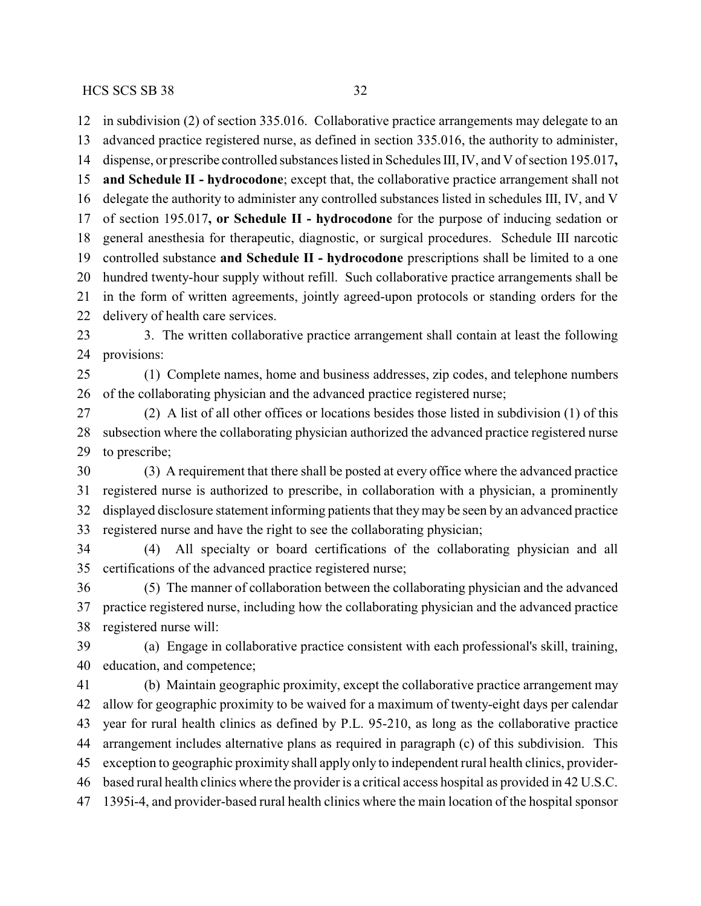in subdivision (2) of section 335.016. Collaborative practice arrangements may delegate to an advanced practice registered nurse, as defined in section 335.016, the authority to administer, dispense, or prescribe controlled substances listed in Schedules III, IV, and V of section 195.017**, and Schedule II - hydrocodone**; except that, the collaborative practice arrangement shall not delegate the authority to administer any controlled substances listed in schedules III, IV, and V of section 195.017**, or Schedule II - hydrocodone** for the purpose of inducing sedation or general anesthesia for therapeutic, diagnostic, or surgical procedures. Schedule III narcotic controlled substance **and Schedule II - hydrocodone** prescriptions shall be limited to a one hundred twenty-hour supply without refill. Such collaborative practice arrangements shall be in the form of written agreements, jointly agreed-upon protocols or standing orders for the delivery of health care services. 3. The written collaborative practice arrangement shall contain at least the following provisions: (1) Complete names, home and business addresses, zip codes, and telephone numbers of the collaborating physician and the advanced practice registered nurse; (2) A list of all other offices or locations besides those listed in subdivision (1) of this subsection where the collaborating physician authorized the advanced practice registered nurse to prescribe; (3) A requirement that there shall be posted at every office where the advanced practice registered nurse is authorized to prescribe, in collaboration with a physician, a prominently displayed disclosure statement informing patients that theymay be seen by an advanced practice registered nurse and have the right to see the collaborating physician; (4) All specialty or board certifications of the collaborating physician and all certifications of the advanced practice registered nurse; (5) The manner of collaboration between the collaborating physician and the advanced practice registered nurse, including how the collaborating physician and the advanced practice registered nurse will: (a) Engage in collaborative practice consistent with each professional's skill, training, education, and competence; (b) Maintain geographic proximity, except the collaborative practice arrangement may allow for geographic proximity to be waived for a maximum of twenty-eight days per calendar year for rural health clinics as defined by P.L. 95-210, as long as the collaborative practice arrangement includes alternative plans as required in paragraph (c) of this subdivision. This exception to geographic proximity shall apply only to independent rural health clinics, provider- based rural health clinics where the provider is a critical access hospital as provided in 42 U.S.C. 1395i-4, and provider-based rural health clinics where the main location of the hospital sponsor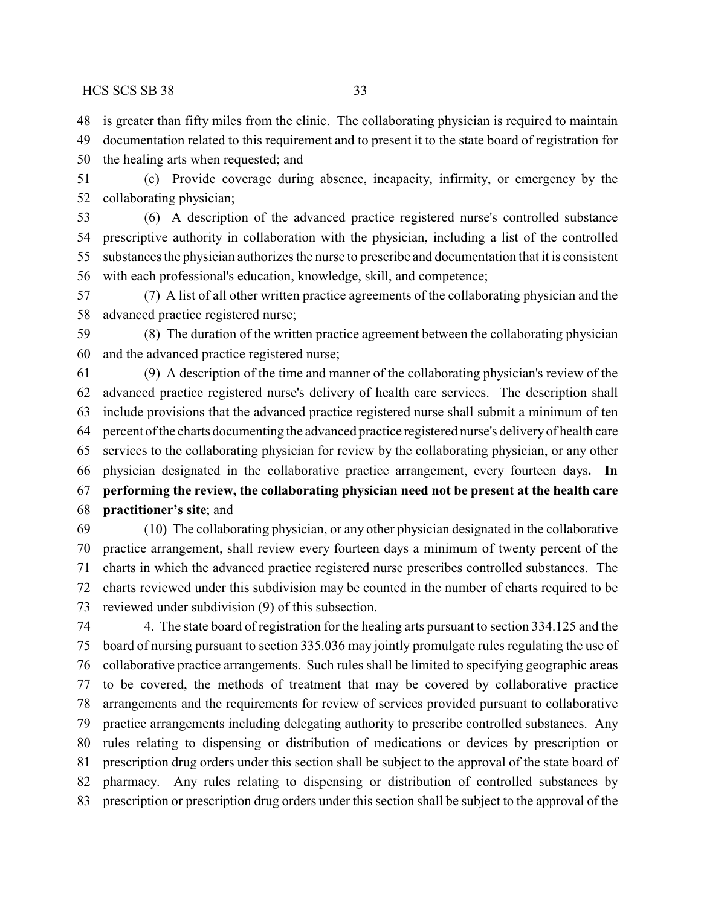is greater than fifty miles from the clinic. The collaborating physician is required to maintain

documentation related to this requirement and to present it to the state board of registration for

the healing arts when requested; and

 (c) Provide coverage during absence, incapacity, infirmity, or emergency by the collaborating physician;

 (6) A description of the advanced practice registered nurse's controlled substance prescriptive authority in collaboration with the physician, including a list of the controlled substances the physician authorizes the nurse to prescribe and documentation that it is consistent with each professional's education, knowledge, skill, and competence;

 (7) A list of all other written practice agreements of the collaborating physician and the advanced practice registered nurse;

 (8) The duration of the written practice agreement between the collaborating physician and the advanced practice registered nurse;

 (9) A description of the time and manner of the collaborating physician's review of the advanced practice registered nurse's delivery of health care services. The description shall include provisions that the advanced practice registered nurse shall submit a minimum of ten percent of the charts documenting the advanced practice registered nurse's deliveryof health care services to the collaborating physician for review by the collaborating physician, or any other physician designated in the collaborative practice arrangement, every fourteen days**. In performing the review, the collaborating physician need not be present at the health care practitioner's site**; and

 (10) The collaborating physician, or any other physician designated in the collaborative practice arrangement, shall review every fourteen days a minimum of twenty percent of the charts in which the advanced practice registered nurse prescribes controlled substances. The charts reviewed under this subdivision may be counted in the number of charts required to be reviewed under subdivision (9) of this subsection.

 4. The state board of registration for the healing arts pursuant to section 334.125 and the board of nursing pursuant to section 335.036 may jointly promulgate rules regulating the use of collaborative practice arrangements. Such rules shall be limited to specifying geographic areas to be covered, the methods of treatment that may be covered by collaborative practice arrangements and the requirements for review of services provided pursuant to collaborative practice arrangements including delegating authority to prescribe controlled substances. Any rules relating to dispensing or distribution of medications or devices by prescription or prescription drug orders under this section shall be subject to the approval of the state board of pharmacy. Any rules relating to dispensing or distribution of controlled substances by prescription or prescription drug orders under this section shall be subject to the approval of the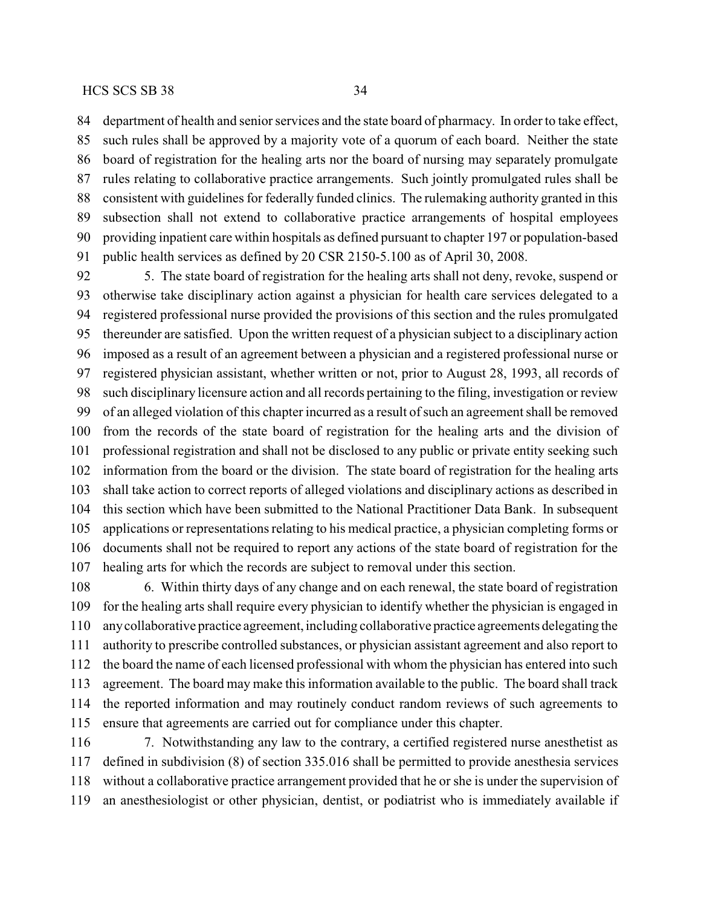department of health and senior services and the state board of pharmacy. In order to take effect, such rules shall be approved by a majority vote of a quorum of each board. Neither the state board of registration for the healing arts nor the board of nursing may separately promulgate rules relating to collaborative practice arrangements. Such jointly promulgated rules shall be consistent with guidelines for federally funded clinics. The rulemaking authority granted in this subsection shall not extend to collaborative practice arrangements of hospital employees providing inpatient care within hospitals as defined pursuant to chapter 197 or population-based public health services as defined by 20 CSR 2150-5.100 as of April 30, 2008.

 5. The state board of registration for the healing arts shall not deny, revoke, suspend or otherwise take disciplinary action against a physician for health care services delegated to a registered professional nurse provided the provisions of this section and the rules promulgated thereunder are satisfied. Upon the written request of a physician subject to a disciplinary action imposed as a result of an agreement between a physician and a registered professional nurse or registered physician assistant, whether written or not, prior to August 28, 1993, all records of such disciplinary licensure action and all records pertaining to the filing, investigation or review of an alleged violation of this chapter incurred as a result of such an agreement shall be removed from the records of the state board of registration for the healing arts and the division of professional registration and shall not be disclosed to any public or private entity seeking such information from the board or the division. The state board of registration for the healing arts shall take action to correct reports of alleged violations and disciplinary actions as described in this section which have been submitted to the National Practitioner Data Bank. In subsequent applications or representations relating to his medical practice, a physician completing forms or documents shall not be required to report any actions of the state board of registration for the healing arts for which the records are subject to removal under this section.

 6. Within thirty days of any change and on each renewal, the state board of registration for the healing arts shall require every physician to identify whether the physician is engaged in anycollaborative practice agreement, including collaborative practice agreements delegating the authority to prescribe controlled substances, or physician assistant agreement and also report to the board the name of each licensed professional with whom the physician has entered into such agreement. The board may make this information available to the public. The board shall track the reported information and may routinely conduct random reviews of such agreements to ensure that agreements are carried out for compliance under this chapter.

 7. Notwithstanding any law to the contrary, a certified registered nurse anesthetist as defined in subdivision (8) of section 335.016 shall be permitted to provide anesthesia services without a collaborative practice arrangement provided that he or she is under the supervision of an anesthesiologist or other physician, dentist, or podiatrist who is immediately available if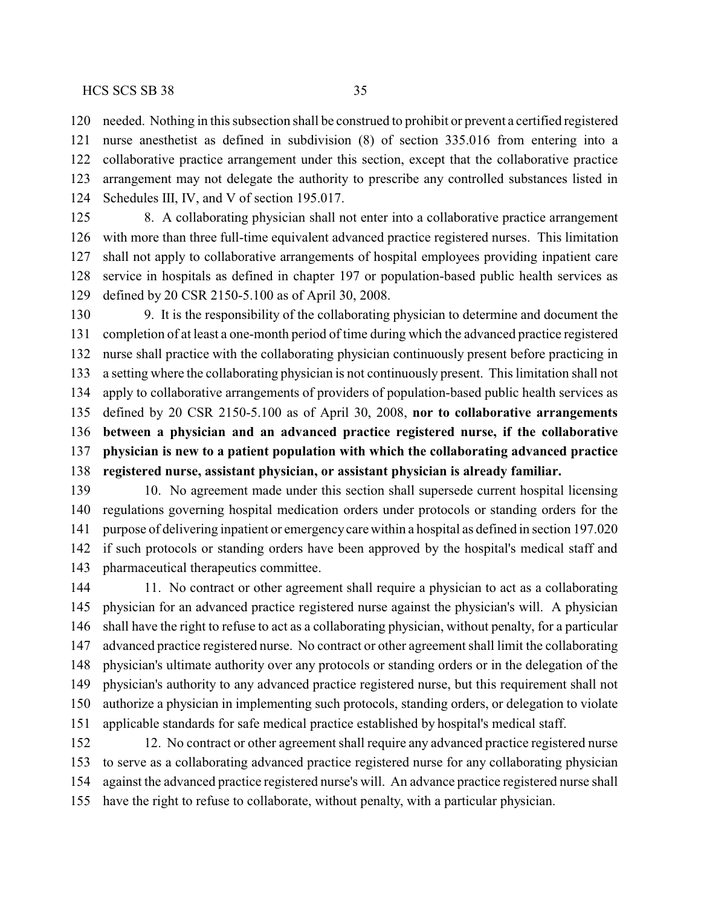needed. Nothing in this subsection shall be construed to prohibit or prevent a certified registered

 nurse anesthetist as defined in subdivision (8) of section 335.016 from entering into a collaborative practice arrangement under this section, except that the collaborative practice arrangement may not delegate the authority to prescribe any controlled substances listed in Schedules III, IV, and V of section 195.017.

 8. A collaborating physician shall not enter into a collaborative practice arrangement with more than three full-time equivalent advanced practice registered nurses. This limitation shall not apply to collaborative arrangements of hospital employees providing inpatient care service in hospitals as defined in chapter 197 or population-based public health services as defined by 20 CSR 2150-5.100 as of April 30, 2008.

 9. It is the responsibility of the collaborating physician to determine and document the completion of at least a one-month period of time during which the advanced practice registered nurse shall practice with the collaborating physician continuously present before practicing in a setting where the collaborating physician is not continuously present. This limitation shall not apply to collaborative arrangements of providers of population-based public health services as defined by 20 CSR 2150-5.100 as of April 30, 2008, **nor to collaborative arrangements between a physician and an advanced practice registered nurse, if the collaborative physician is new to a patient population with which the collaborating advanced practice registered nurse, assistant physician, or assistant physician is already familiar.**

 10. No agreement made under this section shall supersede current hospital licensing regulations governing hospital medication orders under protocols or standing orders for the purpose of delivering inpatient or emergencycare within a hospital as defined in section 197.020 if such protocols or standing orders have been approved by the hospital's medical staff and pharmaceutical therapeutics committee.

 11. No contract or other agreement shall require a physician to act as a collaborating physician for an advanced practice registered nurse against the physician's will. A physician shall have the right to refuse to act as a collaborating physician, without penalty, for a particular advanced practice registered nurse. No contract or other agreement shall limit the collaborating physician's ultimate authority over any protocols or standing orders or in the delegation of the physician's authority to any advanced practice registered nurse, but this requirement shall not authorize a physician in implementing such protocols, standing orders, or delegation to violate applicable standards for safe medical practice established by hospital's medical staff.

 12. No contract or other agreement shall require any advanced practice registered nurse to serve as a collaborating advanced practice registered nurse for any collaborating physician against the advanced practice registered nurse's will. An advance practice registered nurse shall have the right to refuse to collaborate, without penalty, with a particular physician.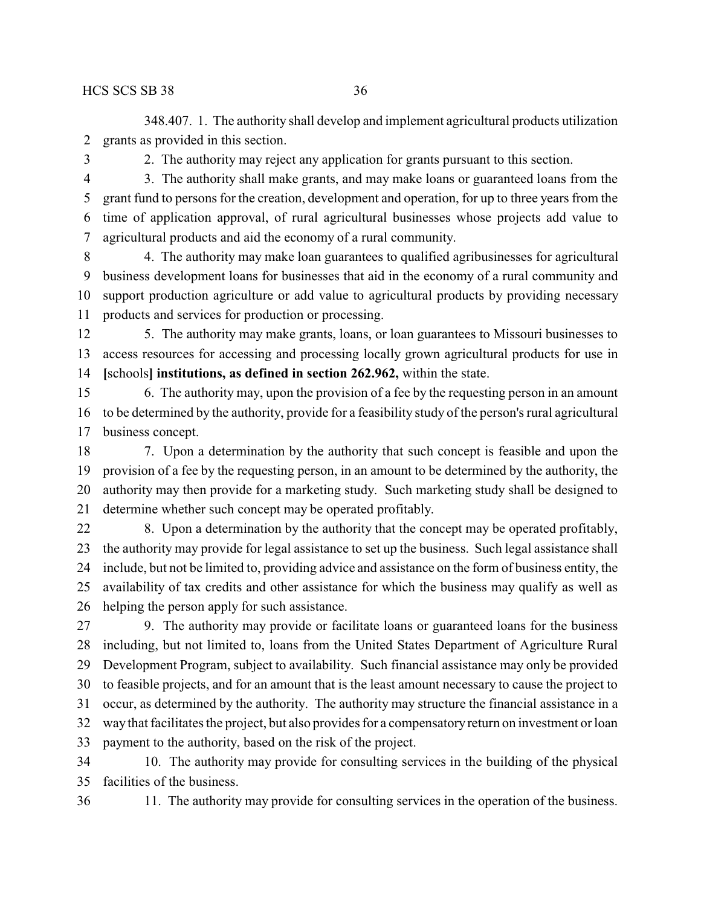348.407. 1. The authority shall develop and implement agricultural products utilization grants as provided in this section.

2. The authority may reject any application for grants pursuant to this section.

 3. The authority shall make grants, and may make loans or guaranteed loans from the grant fund to persons for the creation, development and operation, for up to three years from the time of application approval, of rural agricultural businesses whose projects add value to agricultural products and aid the economy of a rural community.

 4. The authority may make loan guarantees to qualified agribusinesses for agricultural business development loans for businesses that aid in the economy of a rural community and support production agriculture or add value to agricultural products by providing necessary products and services for production or processing.

 5. The authority may make grants, loans, or loan guarantees to Missouri businesses to access resources for accessing and processing locally grown agricultural products for use in **[**schools**] institutions, as defined in section 262.962,** within the state.

 6. The authority may, upon the provision of a fee by the requesting person in an amount to be determined by the authority, provide for a feasibility study of the person's rural agricultural business concept.

 7. Upon a determination by the authority that such concept is feasible and upon the provision of a fee by the requesting person, in an amount to be determined by the authority, the authority may then provide for a marketing study. Such marketing study shall be designed to determine whether such concept may be operated profitably.

 8. Upon a determination by the authority that the concept may be operated profitably, the authority may provide for legal assistance to set up the business. Such legal assistance shall include, but not be limited to, providing advice and assistance on the form of business entity, the availability of tax credits and other assistance for which the business may qualify as well as helping the person apply for such assistance.

 9. The authority may provide or facilitate loans or guaranteed loans for the business including, but not limited to, loans from the United States Department of Agriculture Rural Development Program, subject to availability. Such financial assistance may only be provided to feasible projects, and for an amount that is the least amount necessary to cause the project to occur, as determined by the authority. The authority may structure the financial assistance in a waythat facilitates the project, but also provides for a compensatoryreturn on investment or loan payment to the authority, based on the risk of the project.

 10. The authority may provide for consulting services in the building of the physical facilities of the business.

11. The authority may provide for consulting services in the operation of the business.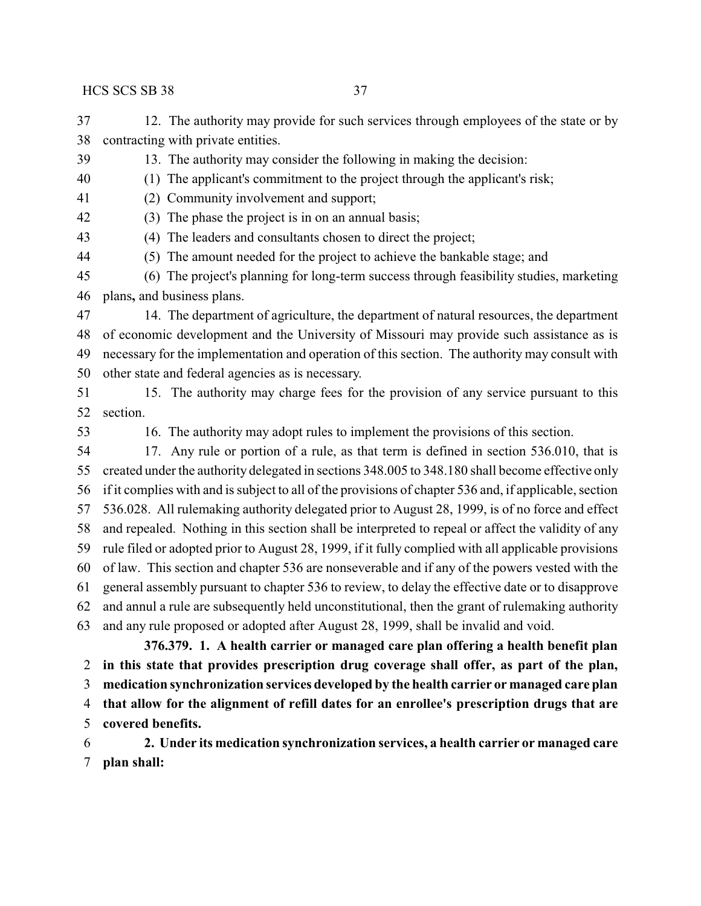12. The authority may provide for such services through employees of the state or by contracting with private entities.

13. The authority may consider the following in making the decision:

(1) The applicant's commitment to the project through the applicant's risk;

(2) Community involvement and support;

(3) The phase the project is in on an annual basis;

(4) The leaders and consultants chosen to direct the project;

(5) The amount needed for the project to achieve the bankable stage; and

 (6) The project's planning for long-term success through feasibility studies, marketing plans**,** and business plans.

 14. The department of agriculture, the department of natural resources, the department of economic development and the University of Missouri may provide such assistance as is necessary for the implementation and operation of this section. The authority may consult with other state and federal agencies as is necessary.

 15. The authority may charge fees for the provision of any service pursuant to this section.

16. The authority may adopt rules to implement the provisions of this section.

 17. Any rule or portion of a rule, as that term is defined in section 536.010, that is created under the authority delegated in sections 348.005 to 348.180 shall become effective only if it complies with and is subject to all of the provisions of chapter 536 and, if applicable, section 536.028. All rulemaking authority delegated prior to August 28, 1999, is of no force and effect and repealed. Nothing in this section shall be interpreted to repeal or affect the validity of any rule filed or adopted prior to August 28, 1999, if it fully complied with all applicable provisions of law. This section and chapter 536 are nonseverable and if any of the powers vested with the general assembly pursuant to chapter 536 to review, to delay the effective date or to disapprove and annul a rule are subsequently held unconstitutional, then the grant of rulemaking authority and any rule proposed or adopted after August 28, 1999, shall be invalid and void.

**376.379. 1. A health carrier or managed care plan offering a health benefit plan in this state that provides prescription drug coverage shall offer, as part of the plan, medication synchronization services developed by the health carrier or managed care plan that allow for the alignment of refill dates for an enrollee's prescription drugs that are covered benefits.**

 **2. Under its medication synchronization services, a health carrier or managed care plan shall:**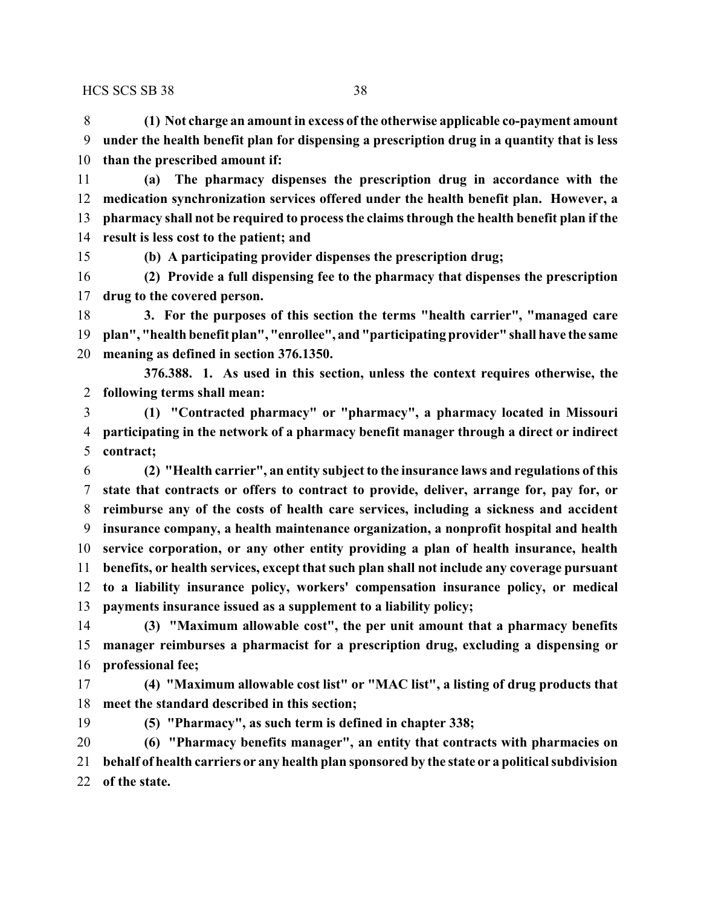**(1) Not charge an amount in excess of the otherwise applicable co-payment amount under the health benefit plan for dispensing a prescription drug in a quantity that is less than the prescribed amount if:**

 **(a) The pharmacy dispenses the prescription drug in accordance with the medication synchronization services offered under the health benefit plan. However, a pharmacy shall not be required to process the claims through the health benefit plan if the result is less cost to the patient; and**

**(b) A participating provider dispenses the prescription drug;**

 **(2) Provide a full dispensing fee to the pharmacy that dispenses the prescription drug to the covered person.**

 **3. For the purposes of this section the terms "health carrier", "managed care plan", "health benefit plan", "enrollee", and "participating provider" shall have the same meaning as defined in section 376.1350.**

**376.388. 1. As used in this section, unless the context requires otherwise, the following terms shall mean:**

 **(1) "Contracted pharmacy" or "pharmacy", a pharmacy located in Missouri participating in the network of a pharmacy benefit manager through a direct or indirect contract;**

 **(2) "Health carrier", an entity subject to the insurance laws and regulations of this state that contracts or offers to contract to provide, deliver, arrange for, pay for, or reimburse any of the costs of health care services, including a sickness and accident insurance company, a health maintenance organization, a nonprofit hospital and health service corporation, or any other entity providing a plan of health insurance, health benefits, or health services, except that such plan shall not include any coverage pursuant to a liability insurance policy, workers' compensation insurance policy, or medical payments insurance issued as a supplement to a liability policy;**

 **(3) "Maximum allowable cost", the per unit amount that a pharmacy benefits manager reimburses a pharmacist for a prescription drug, excluding a dispensing or professional fee;**

 **(4) "Maximum allowable cost list" or "MAC list", a listing of drug products that meet the standard described in this section;**

**(5) "Pharmacy", as such term is defined in chapter 338;**

 **(6) "Pharmacy benefits manager", an entity that contracts with pharmacies on behalf of health carriers or any health plan sponsored by the state or a political subdivision of the state.**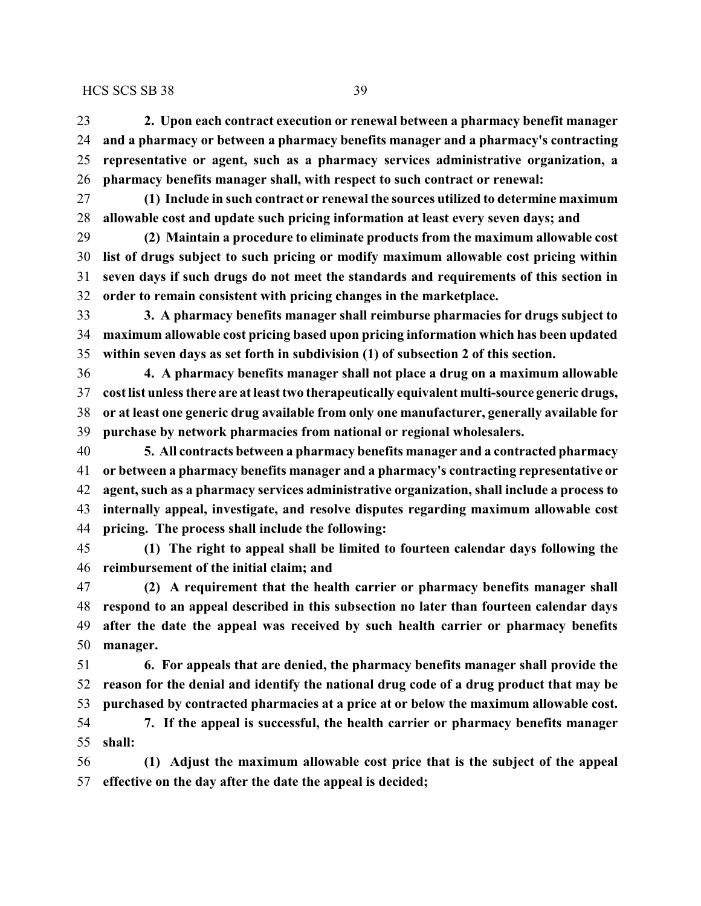**2. Upon each contract execution or renewal between a pharmacy benefit manager and a pharmacy or between a pharmacy benefits manager and a pharmacy's contracting representative or agent, such as a pharmacy services administrative organization, a pharmacy benefits manager shall, with respect to such contract or renewal:**

 **(1) Include in such contract or renewal the sources utilized to determine maximum allowable cost and update such pricing information at least every seven days; and**

 **(2) Maintain a procedure to eliminate products from the maximum allowable cost list of drugs subject to such pricing or modify maximum allowable cost pricing within seven days if such drugs do not meet the standards and requirements of this section in order to remain consistent with pricing changes in the marketplace.**

 **3. A pharmacy benefits manager shall reimburse pharmacies for drugs subject to maximum allowable cost pricing based upon pricing information which has been updated within seven days as set forth in subdivision (1) of subsection 2 of this section.**

 **4. A pharmacy benefits manager shall not place a drug on a maximum allowable cost list unless there are at least two therapeutically equivalent multi-source generic drugs, or at least one generic drug available from only one manufacturer, generally available for purchase by network pharmacies from national or regional wholesalers.**

 **5. All contracts between a pharmacy benefits manager and a contracted pharmacy or between a pharmacy benefits manager and a pharmacy's contracting representative or agent, such as a pharmacy services administrative organization, shall include a process to internally appeal, investigate, and resolve disputes regarding maximum allowable cost pricing. The process shall include the following:**

 **(1) The right to appeal shall be limited to fourteen calendar days following the reimbursement of the initial claim; and**

 **(2) A requirement that the health carrier or pharmacy benefits manager shall respond to an appeal described in this subsection no later than fourteen calendar days after the date the appeal was received by such health carrier or pharmacy benefits manager.**

 **6. For appeals that are denied, the pharmacy benefits manager shall provide the reason for the denial and identify the national drug code of a drug product that may be purchased by contracted pharmacies at a price at or below the maximum allowable cost.**

 **7. If the appeal is successful, the health carrier or pharmacy benefits manager shall:**

 **(1) Adjust the maximum allowable cost price that is the subject of the appeal effective on the day after the date the appeal is decided;**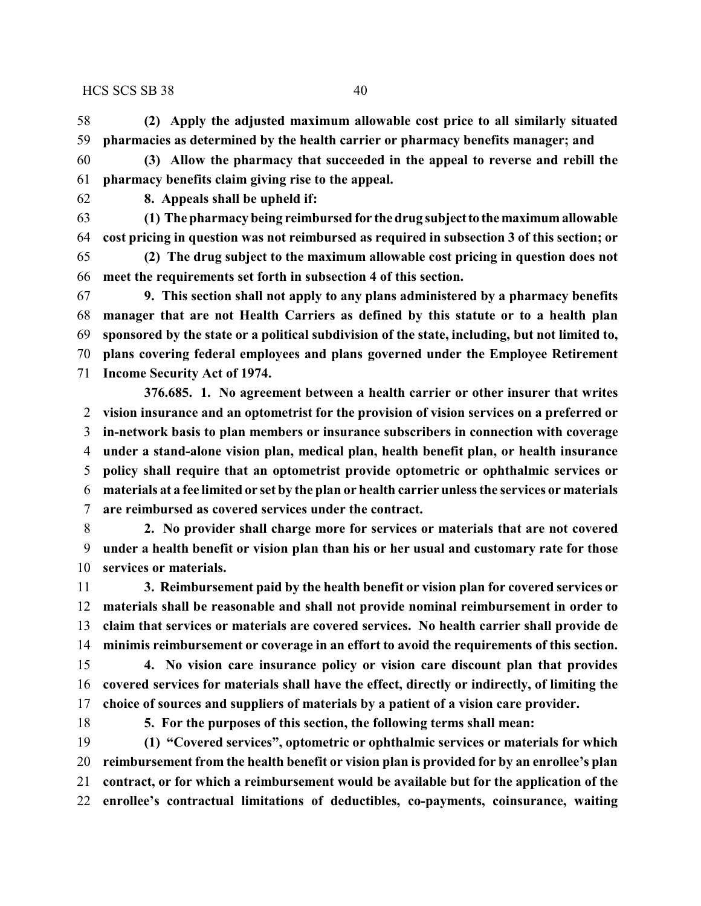**(2) Apply the adjusted maximum allowable cost price to all similarly situated pharmacies as determined by the health carrier or pharmacy benefits manager; and**

 **(3) Allow the pharmacy that succeeded in the appeal to reverse and rebill the pharmacy benefits claim giving rise to the appeal.**

**8. Appeals shall be upheld if:**

 **(1) The pharmacy being reimbursed for the drug subjectto themaximum allowable cost pricing in question was not reimbursed as required in subsection 3 of this section; or**

 **(2) The drug subject to the maximum allowable cost pricing in question does not meet the requirements set forth in subsection 4 of this section.**

 **9. This section shall not apply to any plans administered by a pharmacy benefits manager that are not Health Carriers as defined by this statute or to a health plan sponsored by the state or a political subdivision of the state, including, but not limited to, plans covering federal employees and plans governed under the Employee Retirement Income Security Act of 1974.**

**376.685. 1. No agreement between a health carrier or other insurer that writes vision insurance and an optometrist for the provision of vision services on a preferred or in-network basis to plan members or insurance subscribers in connection with coverage under a stand-alone vision plan, medical plan, health benefit plan, or health insurance policy shall require that an optometrist provide optometric or ophthalmic services or materials at a fee limited or set by the plan or health carrier unless the services or materials are reimbursed as covered services under the contract.**

 **2. No provider shall charge more for services or materials that are not covered under a health benefit or vision plan than his or her usual and customary rate for those services or materials.**

 **3. Reimbursement paid by the health benefit or vision plan for covered services or materials shall be reasonable and shall not provide nominal reimbursement in order to claim that services or materials are covered services. No health carrier shall provide de minimis reimbursement or coverage in an effort to avoid the requirements of this section.**

 **4. No vision care insurance policy or vision care discount plan that provides covered services for materials shall have the effect, directly or indirectly, of limiting the choice of sources and suppliers of materials by a patient of a vision care provider.**

**5. For the purposes of this section, the following terms shall mean:**

 **(1) "Covered services", optometric or ophthalmic services or materials for which reimbursement from the health benefit or vision plan is provided for by an enrollee's plan contract, or for which a reimbursement would be available but for the application of the enrollee's contractual limitations of deductibles, co-payments, coinsurance, waiting**